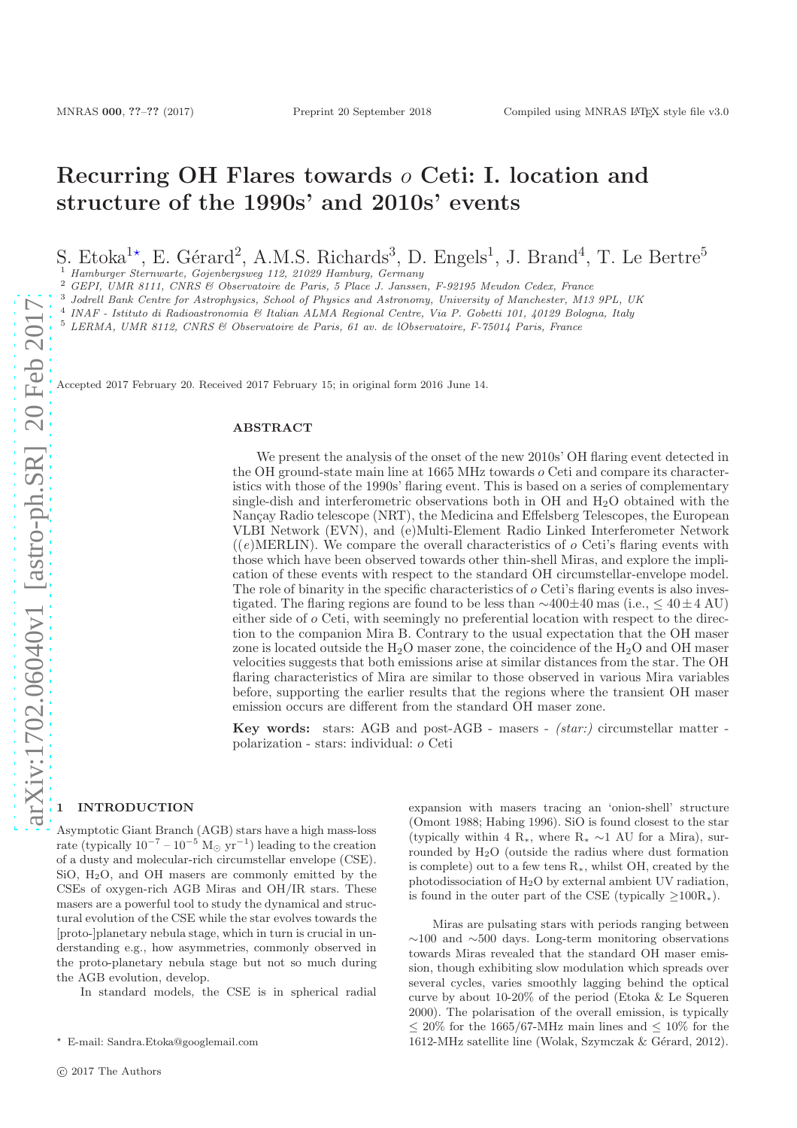# Recurring OH Flares towards o Ceti: I. location and structure of the 1990s' and 2010s' events

S. Etoka<sup>1\*</sup>, E. Gérard<sup>2</sup>, A.M.S. Richards<sup>3</sup>, D. Engels<sup>1</sup>, J. Brand<sup>4</sup>, T. Le Bertre<sup>5</sup>

<sup>1</sup> Hamburger Sternwarte, Gojenbergsweg 112, 21029 Hamburg, Germany

<sup>2</sup> GEPI, UMR 8111, CNRS & Observatoire de Paris, 5 Place J. Janssen, F-92195 Meudon Cedex, France

<sup>3</sup> Jodrell Bank Centre for Astrophysics, School of Physics and Astronomy, University of Manchester, M13 9PL, UK

4 INAF - Istituto di Radioastronomia & Italian ALMA Regional Centre, Via P. Gobetti 101, 40129 Bologna, Italy

<sup>5</sup> LERMA, UMR 8112, CNRS & Observatoire de Paris, 61 av. de lObservatoire, F-75014 Paris, France

Accepted 2017 February 20. Received 2017 February 15; in original form 2016 June 14.

#### ABSTRACT

We present the analysis of the onset of the new 2010s' OH flaring event detected in the OH ground-state main line at 1665 MHz towards o Ceti and compare its characteristics with those of the 1990s' flaring event. This is based on a series of complementary single-dish and interferometric observations both in OH and H2O obtained with the Nançay Radio telescope (NRT), the Medicina and Effelsberg Telescopes, the European VLBI Network (EVN), and (e)Multi-Element Radio Linked Interferometer Network  $((e)$ MERLIN). We compare the overall characteristics of  $o$  Ceti's flaring events with those which have been observed towards other thin-shell Miras, and explore the implication of these events with respect to the standard OH circumstellar-envelope model. The role of binarity in the specific characteristics of  $o$  Ceti's flaring events is also investigated. The flaring regions are found to be less than ∼400±40 mas (i.e., ≤ 40±4 AU) either side of o Ceti, with seemingly no preferential location with respect to the direction to the companion Mira B. Contrary to the usual expectation that the OH maser zone is located outside the  $H_2O$  maser zone, the coincidence of the  $H_2O$  and OH maser velocities suggests that both emissions arise at similar distances from the star. The OH flaring characteristics of Mira are similar to those observed in various Mira variables before, supporting the earlier results that the regions where the transient OH maser emission occurs are different from the standard OH maser zone.

Key words: stars: AGB and post-AGB - masers - (star:) circumstellar matter polarization - stars: individual: o Ceti

# **INTRODUCTION**

Asymptotic Giant Branch (AGB) stars have a high mass-loss rate (typically  $10^{-7} - 10^{-5}$  M<sub>☉</sub> yr<sup>-1</sup>) leading to the creation of a dusty and molecular-rich circumstellar envelope (CSE). SiO, H2O, and OH masers are commonly emitted by the CSEs of oxygen-rich AGB Miras and OH/IR stars. These masers are a powerful tool to study the dynamical and structural evolution of the CSE while the star evolves towards the [proto-]planetary nebula stage, which in turn is crucial in understanding e.g., how asymmetries, commonly observed in the proto-planetary nebula stage but not so much during the AGB evolution, develop.

In standard models, the CSE is in spherical radial

expansion with masers tracing an 'onion-shell' structure (Omont 1988; Habing 1996). SiO is found closest to the star (typically within 4 R<sup>\*</sup>, where R<sup>\*</sup> ∼1 AU for a Mira), surrounded by  $H_2O$  (outside the radius where dust formation is complete) out to a few tens R∗, whilst OH, created by the photodissociation of H2O by external ambient UV radiation, is found in the outer part of the CSE (typically  $\geq 100R_*$ ).

Miras are pulsating stars with periods ranging between  $~\sim$ 100 and  $~\sim$ 500 days. Long-term monitoring observations towards Miras revealed that the standard OH maser emission, though exhibiting slow modulation which spreads over several cycles, varies smoothly lagging behind the optical curve by about 10-20% of the period (Etoka & Le Squeren 2000). The polarisation of the overall emission, is typically  $\leq 20\%$  for the 1665/67-MHz main lines and  $\leq 10\%$  for the 1612-MHz satellite line (Wolak, Szymczak  $\&$  Gérard, 2012).

<sup>⋆</sup> E-mail: Sandra.Etoka@googlemail.com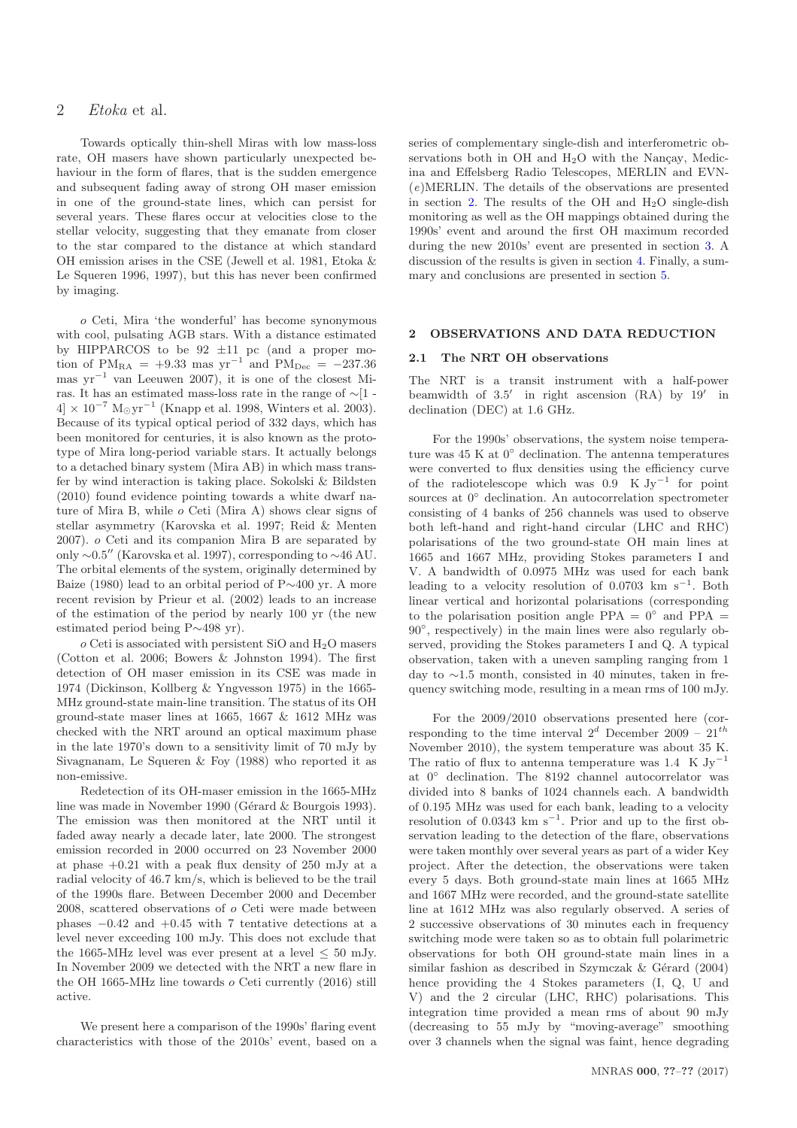Towards optically thin-shell Miras with low mass-loss rate, OH masers have shown particularly unexpected behaviour in the form of flares, that is the sudden emergence and subsequent fading away of strong OH maser emission in one of the ground-state lines, which can persist for several years. These flares occur at velocities close to the stellar velocity, suggesting that they emanate from closer to the star compared to the distance at which standard OH emission arises in the CSE (Jewell et al. 1981, Etoka & Le Squeren 1996, 1997), but this has never been confirmed by imaging.

o Ceti, Mira 'the wonderful' has become synonymous with cool, pulsating AGB stars. With a distance estimated by HIPPARCOS to be  $92 \pm 11$  pc (and a proper motion of PM<sub>RA</sub> = +9.33 mas yr<sup>-1</sup> and PM<sub>Dec</sub> = -237.36 mas yr<sup>−</sup><sup>1</sup> van Leeuwen 2007), it is one of the closest Miras. It has an estimated mass-loss rate in the range of ∼[1 -  $4 \times 10^{-7}$  M<sub>☉</sub>yr<sup>-1</sup> (Knapp et al. 1998, Winters et al. 2003). Because of its typical optical period of 332 days, which has been monitored for centuries, it is also known as the prototype of Mira long-period variable stars. It actually belongs to a detached binary system (Mira AB) in which mass transfer by wind interaction is taking place. Sokolski & Bildsten (2010) found evidence pointing towards a white dwarf nature of Mira B, while o Ceti (Mira A) shows clear signs of stellar asymmetry (Karovska et al. 1997; Reid & Menten 2007). o Ceti and its companion Mira B are separated by only ∼0.5′′ (Karovska et al. 1997), corresponding to ∼46 AU. The orbital elements of the system, originally determined by Baize (1980) lead to an orbital period of P∼400 yr. A more recent revision by Prieur et al. (2002) leads to an increase of the estimation of the period by nearly 100 yr (the new estimated period being P∼498 yr).

o Ceti is associated with persistent SiO and H2O masers (Cotton et al. 2006; Bowers & Johnston 1994). The first detection of OH maser emission in its CSE was made in 1974 (Dickinson, Kollberg & Yngvesson 1975) in the 1665- MHz ground-state main-line transition. The status of its OH ground-state maser lines at 1665, 1667 & 1612 MHz was checked with the NRT around an optical maximum phase in the late 1970's down to a sensitivity limit of 70 mJy by Sivagnanam, Le Squeren & Foy (1988) who reported it as non-emissive.

Redetection of its OH-maser emission in the 1665-MHz line was made in November 1990 (Gérard & Bourgois 1993). The emission was then monitored at the NRT until it faded away nearly a decade later, late 2000. The strongest emission recorded in 2000 occurred on 23 November 2000 at phase +0.21 with a peak flux density of 250 mJy at a radial velocity of 46.7 km/s, which is believed to be the trail of the 1990s flare. Between December 2000 and December 2008, scattered observations of o Ceti were made between phases  $-0.42$  and  $+0.45$  with 7 tentative detections at a level never exceeding 100 mJy. This does not exclude that the 1665-MHz level was ever present at a level  $\leq 50$  mJy. In November 2009 we detected with the NRT a new flare in the OH 1665-MHz line towards o Ceti currently (2016) still active.

We present here a comparison of the 1990s' flaring event characteristics with those of the 2010s' event, based on a

series of complementary single-dish and interferometric observations both in OH and  $H_2O$  with the Nancay, Medicina and Effelsberg Radio Telescopes, MERLIN and EVN- (e)MERLIN. The details of the observations are presented in section [2.](#page-1-0) The results of the OH and  $H_2O$  single-dish monitoring as well as the OH mappings obtained during the 1990s' event and around the first OH maximum recorded during the new 2010s' event are presented in section [3.](#page-3-0) A discussion of the results is given in section [4.](#page-8-0) Finally, a summary and conclusions are presented in section [5.](#page-14-0)

# <span id="page-1-0"></span>OBSERVATIONS AND DATA REDUCTION

## 2.1 The NRT OH observations

The NRT is a transit instrument with a half-power beamwidth of 3.5′ in right ascension (RA) by 19′ in declination (DEC) at 1.6 GHz.

For the 1990s' observations, the system noise temperature was  $45 \text{ K}$  at  $0^{\circ}$  declination. The antenna temperatures were converted to flux densities using the efficiency curve of the radiotelescope which was  $0.9$  K Jy<sup>-1</sup> for point sources at 0◦ declination. An autocorrelation spectrometer consisting of 4 banks of 256 channels was used to observe both left-hand and right-hand circular (LHC and RHC) polarisations of the two ground-state OH main lines at 1665 and 1667 MHz, providing Stokes parameters I and V. A bandwidth of 0.0975 MHz was used for each bank leading to a velocity resolution of  $0.0703 \text{ km s}^{-1}$ . Both linear vertical and horizontal polarisations (corresponding to the polarisation position angle PPA =  $0^{\circ}$  and PPA = 90◦ , respectively) in the main lines were also regularly observed, providing the Stokes parameters I and Q. A typical observation, taken with a uneven sampling ranging from 1 day to ∼1.5 month, consisted in 40 minutes, taken in frequency switching mode, resulting in a mean rms of 100 mJy.

For the 2009/2010 observations presented here (corresponding to the time interval  $2^d$  December 2009 –  $21^{th}$ November 2010), the system temperature was about 35 K. The ratio of flux to antenna temperature was 1.4 K  $Jy^{-1}$ at 0◦ declination. The 8192 channel autocorrelator was divided into 8 banks of 1024 channels each. A bandwidth of 0.195 MHz was used for each bank, leading to a velocity resolution of  $0.0343 \text{ km s}^{-1}$ . Prior and up to the first observation leading to the detection of the flare, observations were taken monthly over several years as part of a wider Key project. After the detection, the observations were taken every 5 days. Both ground-state main lines at 1665 MHz and 1667 MHz were recorded, and the ground-state satellite line at 1612 MHz was also regularly observed. A series of 2 successive observations of 30 minutes each in frequency switching mode were taken so as to obtain full polarimetric observations for both OH ground-state main lines in a similar fashion as described in Szymczak  $& Gérard (2004)$ hence providing the 4 Stokes parameters (I, Q, U and V) and the 2 circular (LHC, RHC) polarisations. This integration time provided a mean rms of about 90 mJy (decreasing to 55 mJy by "moving-average" smoothing over 3 channels when the signal was faint, hence degrading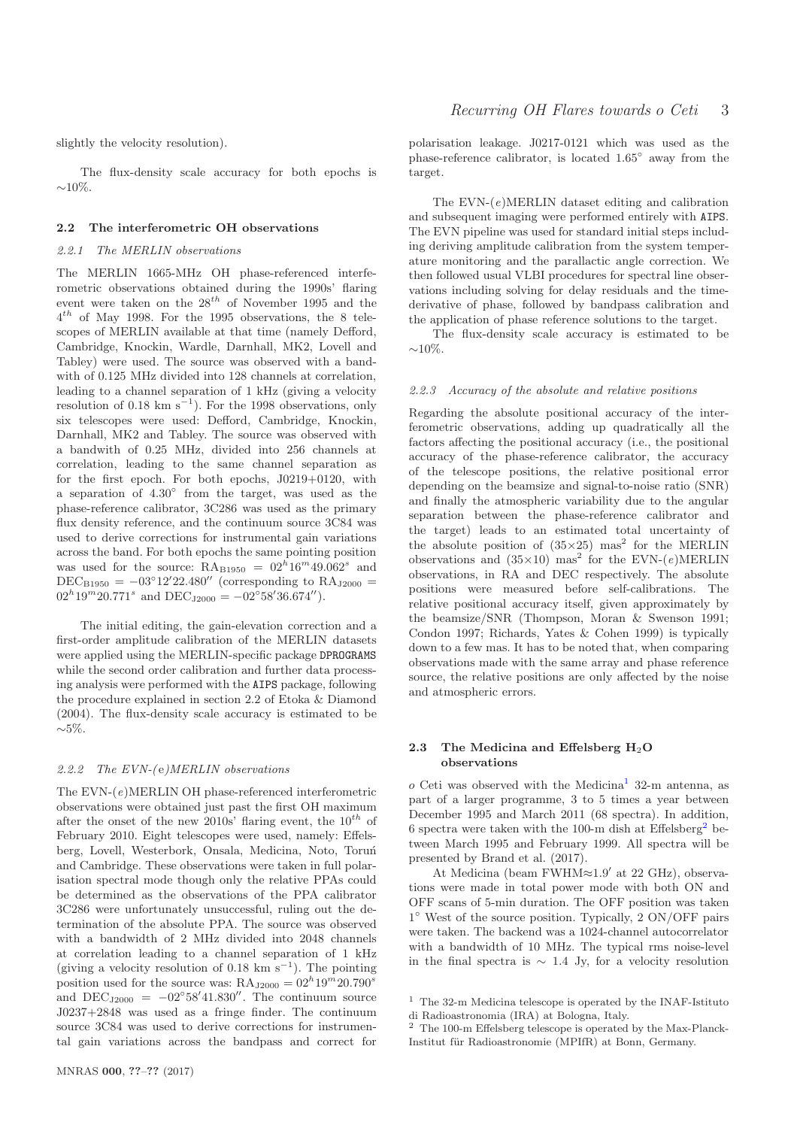slightly the velocity resolution).

The flux-density scale accuracy for both epochs is  $∼10\%$ .

#### 2.2 The interferometric OH observations

#### 2.2.1 The MERLIN observations

The MERLIN 1665-MHz OH phase-referenced interferometric observations obtained during the 1990s' flaring event were taken on the  $28^{th}$  of November 1995 and the  $4^{th}$  of May 1998. For the 1995 observations, the 8 telescopes of MERLIN available at that time (namely Defford, Cambridge, Knockin, Wardle, Darnhall, MK2, Lovell and Tabley) were used. The source was observed with a bandwith of 0.125 MHz divided into 128 channels at correlation, leading to a channel separation of 1 kHz (giving a velocity resolution of 0.18 km  $s^{-1}$ ). For the 1998 observations, only six telescopes were used: Defford, Cambridge, Knockin, Darnhall, MK2 and Tabley. The source was observed with a bandwith of 0.25 MHz, divided into 256 channels at correlation, leading to the same channel separation as for the first epoch. For both epochs, J0219+0120, with a separation of  $4.30^{\circ}$  from the target, was used as the phase-reference calibrator, 3C286 was used as the primary flux density reference, and the continuum source 3C84 was used to derive corrections for instrumental gain variations across the band. For both epochs the same pointing position was used for the source:  $\text{RA}_{\text{B1950}} = 02^h 16^m 49.062^s$  and DEC<sub>B1950</sub> =  $-03^{\circ}12'22.480''$  (corresponding to RA<sub>J2000</sub> =  $02^{h}19^{m}20.771^{s}$  and  $DEC<sub>J2000</sub> = -02°58'36.674'$ .

The initial editing, the gain-elevation correction and a first-order amplitude calibration of the MERLIN datasets were applied using the MERLIN-specific package DPROGRAMS while the second order calibration and further data processing analysis were performed with the AIPS package, following the procedure explained in section 2.2 of Etoka & Diamond (2004). The flux-density scale accuracy is estimated to be  $~\sim$ 5%.

# 2.2.2 The  $EVN-(e)MERLIN$  observations

The EVN-(e)MERLIN OH phase-referenced interferometric observations were obtained just past the first OH maximum after the onset of the new 2010s' flaring event, the  $10^{th}$  of February 2010. Eight telescopes were used, namely: Effelsberg, Lovell, Westerbork, Onsala, Medicina, Noto, Toruń and Cambridge. These observations were taken in full polarisation spectral mode though only the relative PPAs could be determined as the observations of the PPA calibrator 3C286 were unfortunately unsuccessful, ruling out the determination of the absolute PPA. The source was observed with a bandwidth of 2 MHz divided into 2048 channels at correlation leading to a channel separation of 1 kHz (giving a velocity resolution of 0.18 km  $s^{-1}$ ). The pointing position used for the source was:  $\text{RA}_{\text{J2000}} = 02^h 19^m 20.790^s$ and  $DEC_{J2000} = -02°58'41.830''$ . The continuum source J0237+2848 was used as a fringe finder. The continuum source 3C84 was used to derive corrections for instrumental gain variations across the bandpass and correct for polarisation leakage. J0217-0121 which was used as the phase-reference calibrator, is located 1.65◦ away from the target.

The  $EVN-(e)MERLIN$  dataset editing and calibration and subsequent imaging were performed entirely with AIPS. The EVN pipeline was used for standard initial steps including deriving amplitude calibration from the system temperature monitoring and the parallactic angle correction. We then followed usual VLBI procedures for spectral line observations including solving for delay residuals and the timederivative of phase, followed by bandpass calibration and the application of phase reference solutions to the target.

The flux-density scale accuracy is estimated to be  $~10\%$ .

#### <span id="page-2-2"></span>2.2.3 Accuracy of the absolute and relative positions

Regarding the absolute positional accuracy of the interferometric observations, adding up quadratically all the factors affecting the positional accuracy (i.e., the positional accuracy of the phase-reference calibrator, the accuracy of the telescope positions, the relative positional error depending on the beamsize and signal-to-noise ratio (SNR) and finally the atmospheric variability due to the angular separation between the phase-reference calibrator and the target) leads to an estimated total uncertainty of the absolute position of  $(35\times25)$  mas<sup>2</sup> for the MERLIN observations and  $(35\times10)$  mas<sup>2</sup> for the EVN- $(e)$ MERLIN observations, in RA and DEC respectively. The absolute positions were measured before self-calibrations. The relative positional accuracy itself, given approximately by the beamsize/SNR (Thompson, Moran & Swenson 1991; Condon 1997; Richards, Yates & Cohen 1999) is typically down to a few mas. It has to be noted that, when comparing observations made with the same array and phase reference source, the relative positions are only affected by the noise and atmospheric errors.

# 2.3 The Medicina and Effelsberg  $H_2O$ observations

 $o$  Ceti was observed with the Medicina<sup>[1](#page-2-0)</sup> 32-m antenna, as part of a larger programme, 3 to 5 times a year between December 1995 and March 2011 (68 spectra). In addition, 6 spectra were taken with the 100-m dish at  $Effelsberg<sup>2</sup>$  $Effelsberg<sup>2</sup>$  $Effelsberg<sup>2</sup>$  between March 1995 and February 1999. All spectra will be presented by Brand et al. (2017).

At Medicina (beam FWHM≈1.9′ at 22 GHz), observations were made in total power mode with both ON and OFF scans of 5-min duration. The OFF position was taken 1 ◦ West of the source position. Typically, 2 ON/OFF pairs were taken. The backend was a 1024-channel autocorrelator with a bandwidth of 10 MHz. The typical rms noise-level in the final spectra is  $\sim 1.4$  Jy, for a velocity resolution

<span id="page-2-0"></span> $1$  The 32-m Medicina telescope is operated by the INAF-Istituto di Radioastronomia (IRA) at Bologna, Italy.

<span id="page-2-1"></span> $^2\,$  The 100-m Effelsberg telescope is operated by the Max-Planck-Institut für Radioastronomie (MPIfR) at Bonn, Germany.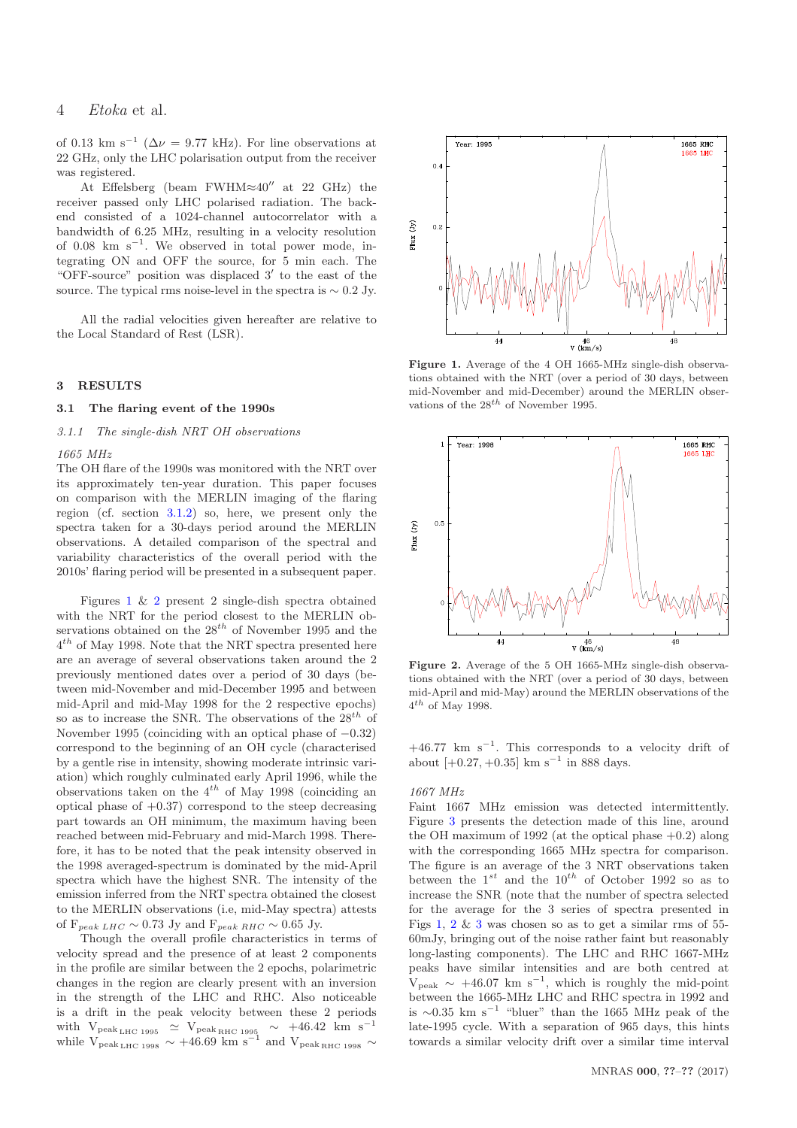of 0.13 km s<sup>-1</sup> ( $\Delta \nu = 9.77$  kHz). For line observations at 22 GHz, only the LHC polarisation output from the receiver was registered.

At Effelsberg (beam FWHM≈40′′ at 22 GHz) the receiver passed only LHC polarised radiation. The backend consisted of a 1024-channel autocorrelator with a bandwidth of 6.25 MHz, resulting in a velocity resolution of  $0.08 \text{ km s}^{-1}$ . We observed in total power mode, integrating ON and OFF the source, for 5 min each. The "OFF-source" position was displaced 3′ to the east of the source. The typical rms noise-level in the spectra is  $\sim 0.2$  Jy.

All the radial velocities given hereafter are relative to the Local Standard of Rest (LSR).

#### <span id="page-3-0"></span>3 RESULTS

#### <span id="page-3-3"></span>3.1 The flaring event of the 1990s

3.1.1 The single-dish NRT OH observations

#### 1665 MHz

The OH flare of the 1990s was monitored with the NRT over its approximately ten-year duration. This paper focuses on comparison with the MERLIN imaging of the flaring region (cf. section [3.1.2\)](#page-4-0) so, here, we present only the spectra taken for a 30-days period around the MERLIN observations. A detailed comparison of the spectral and variability characteristics of the overall period with the 2010s' flaring period will be presented in a subsequent paper.

Figures [1](#page-3-1) & [2](#page-3-2) present 2 single-dish spectra obtained with the NRT for the period closest to the MERLIN observations obtained on the  $28^{th}$  of November 1995 and the  $4^{th}$  of May 1998. Note that the NRT spectra presented here are an average of several observations taken around the 2 previously mentioned dates over a period of 30 days (between mid-November and mid-December 1995 and between mid-April and mid-May 1998 for the 2 respective epochs) so as to increase the SNR. The observations of the  $28^{th}$  of November 1995 (coinciding with an optical phase of −0.32) correspond to the beginning of an OH cycle (characterised by a gentle rise in intensity, showing moderate intrinsic variation) which roughly culminated early April 1996, while the observations taken on the  $4^{th}$  of May 1998 (coinciding an optical phase of  $+0.37$ ) correspond to the steep decreasing part towards an OH minimum, the maximum having been reached between mid-February and mid-March 1998. Therefore, it has to be noted that the peak intensity observed in the 1998 averaged-spectrum is dominated by the mid-April spectra which have the highest SNR. The intensity of the emission inferred from the NRT spectra obtained the closest to the MERLIN observations (i.e, mid-May spectra) attests of  $F_{peak LHC} \sim 0.73$  Jy and  $F_{peak RHC} \sim 0.65$  Jy.

Though the overall profile characteristics in terms of velocity spread and the presence of at least 2 components in the profile are similar between the 2 epochs, polarimetric changes in the region are clearly present with an inversion in the strength of the LHC and RHC. Also noticeable is a drift in the peak velocity between these 2 periods with  $V_{\text{peak}}$ <sub>LHC 1995</sub>  $\simeq$  V<sub>peak RHC 1995</sub>  $\sim$  +46.42 km s<sup>-1</sup> while  $V_{peak\mu_{HC}1998} \sim +46.69$  km s<sup>-1</sup> and  $V_{peak\mu_{HC}1998} \sim$ 



<span id="page-3-1"></span>Figure 1. Average of the 4 OH 1665-MHz single-dish observations obtained with the NRT (over a period of 30 days, between mid-November and mid-December) around the MERLIN observations of the  $28^{th}$  of November 1995.



<span id="page-3-2"></span>Figure 2. Average of the 5 OH 1665-MHz single-dish observations obtained with the NRT (over a period of 30 days, between mid-April and mid-May) around the MERLIN observations of the  $4^{th}$  of May 1998.

 $+46.77$  km s<sup>-1</sup>. This corresponds to a velocity drift of about  $[+0.27, +0.35]$  km s<sup>-1</sup> in 888 days.

#### 1667 MHz

Faint 1667 MHz emission was detected intermittently. Figure [3](#page-4-1) presents the detection made of this line, around the OH maximum of 1992 (at the optical phase  $+0.2$ ) along with the corresponding 1665 MHz spectra for comparison. The figure is an average of the 3 NRT observations taken between the  $1^{st}$  and the  $10^{th}$  of October 1992 so as to increase the SNR (note that the number of spectra selected for the average for the 3 series of spectra presented in Figs  $1, 2 \& 3$  $1, 2 \& 3$  $1, 2 \& 3$  $1, 2 \& 3$  $1, 2 \& 3$  was chosen so as to get a similar rms of 55-60mJy, bringing out of the noise rather faint but reasonably long-lasting components). The LHC and RHC 1667-MHz peaks have similar intensities and are both centred at  $V_{\text{peak}} \sim +46.07 \text{ km s}^{-1}$ , which is roughly the mid-point between the 1665-MHz LHC and RHC spectra in 1992 and is ∼0.35 km s<sup>−</sup><sup>1</sup> "bluer" than the 1665 MHz peak of the late-1995 cycle. With a separation of 965 days, this hints towards a similar velocity drift over a similar time interval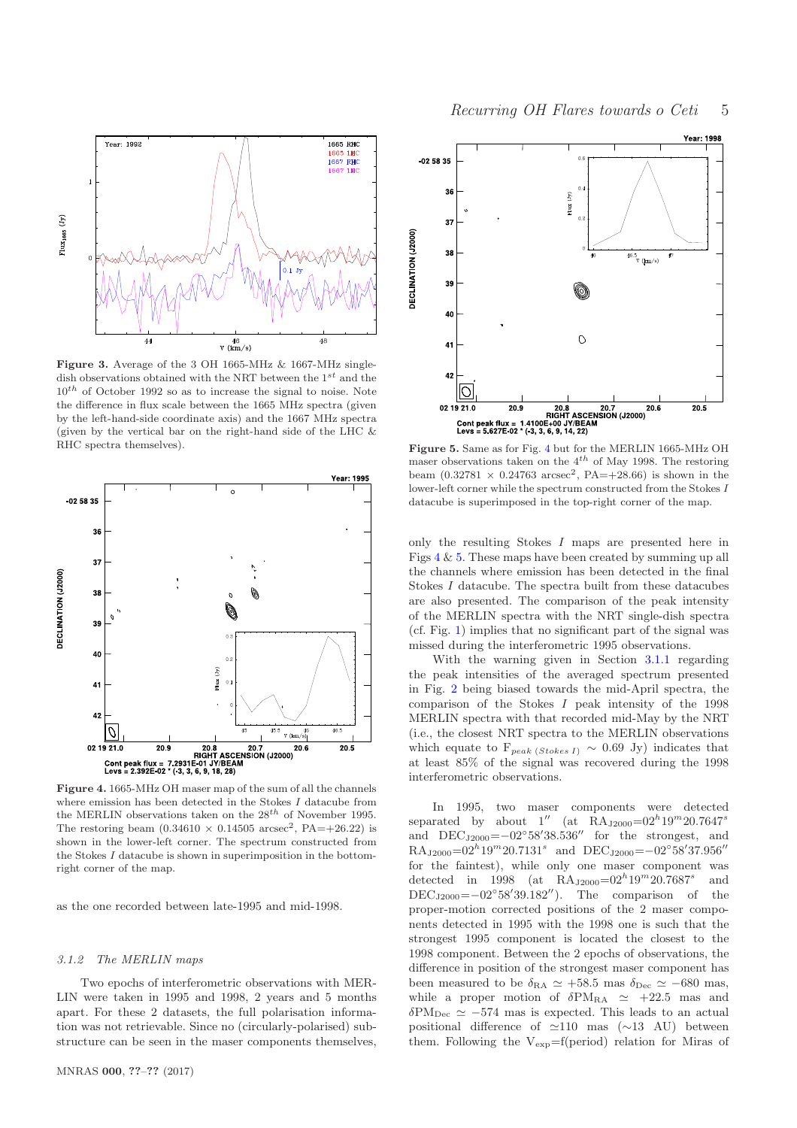

<span id="page-4-1"></span>Figure 3. Average of the 3 OH 1665-MHz & 1667-MHz singledish observations obtained with the NRT between the  $1^{st}$  and the  $10^{th}$  of October 1992 so as to increase the signal to noise. Note the difference in flux scale between the 1665 MHz spectra (given by the left-hand-side coordinate axis) and the 1667 MHz spectra (given by the vertical bar on the right-hand side of the LHC  $&$ RHC spectra themselves).



<span id="page-4-2"></span>where emission has been detected in the Stokes I datacube from the MERLIN observations taken on the  $28^{th}$  of November 1995. The restoring beam  $(0.34610 \times 0.14505 \text{ arcsec}^2, PA=+26.22)$  is shown in the lower-left corner. The spectrum constructed from the Stokes  $I$  datacube is shown in superimposition in the bottomright corner of the map.

as the one recorded between late-1995 and mid-1998.

## <span id="page-4-0"></span>3.1.2 The MERLIN maps

Two epochs of interferometric observations with MER-LIN were taken in 1995 and 1998, 2 years and 5 months apart. For these 2 datasets, the full polarisation information was not retrievable. Since no (circularly-polarised) substructure can be seen in the maser components themselves,



<span id="page-4-3"></span>Figure 5. Same as for Fig. [4](#page-4-2) but for the MERLIN 1665-MHz OH maser observations taken on the  $4^{th}$  of May 1998. The restoring beam  $(0.32781 \times 0.24763 \text{ arcsec}^2, PA=+28.66)$  is shown in the lower-left corner while the spectrum constructed from the Stokes I datacube is superimposed in the top-right corner of the map.

only the resulting Stokes I maps are presented here in Figs  $4 \& 5$  $4 \& 5$ . These maps have been created by summing up all the channels where emission has been detected in the final Stokes I datacube. The spectra built from these datacubes are also presented. The comparison of the peak intensity of the MERLIN spectra with the NRT single-dish spectra (cf. Fig. [1\)](#page-3-1) implies that no significant part of the signal was missed during the interferometric 1995 observations.

With the warning given in Section [3.1.1](#page-3-3) regarding the peak intensities of the averaged spectrum presented in Fig. [2](#page-3-2) being biased towards the mid-April spectra, the comparison of the Stokes I peak intensity of the 1998 MERLIN spectra with that recorded mid-May by the NRT (i.e., the closest NRT spectra to the MERLIN observations which equate to  $F_{peak}$  (Stokes I) ~ 0.69 Jy) indicates that at least 85% of the signal was recovered during the 1998 interferometric observations.

In 1995, two maser components were detected separated by about  $1''$  (at RA<sub>J2000</sub>=02<sup>h</sup>19<sup>m</sup>20.7647<sup>s</sup> and  $DEC_{J2000} = -02°58'38.536''$  for the strongest, and  $\text{RA}_{\text{J2000}} = 02^h 19^m 20.7131^s$  and  $\text{DEC}_{\text{J2000}} = -02^\circ 58' 37.956''$ for the faintest), while only one maser component was detected in 1998 (at  $\text{RA}_{\text{J2000}}=02^{h}19^{m}20.7687^{s}$ and DEC<sub>J2000</sub> =  $-02°58'39.182''$ ). The comparison of the proper-motion corrected positions of the 2 maser components detected in 1995 with the 1998 one is such that the strongest 1995 component is located the closest to the 1998 component. Between the 2 epochs of observations, the difference in position of the strongest maser component has been measured to be  $\delta_{\text{RA}} \simeq +58.5$  mas  $\delta_{\text{Dec}} \simeq -680$  mas, while a proper motion of  $\delta PM_{RA} \simeq +22.5$  mas and  $\delta PM_{Dec} \simeq -574$  mas is expected. This leads to an actual positional difference of ≃110 mas (∼13 AU) between them. Following the  $V_{exp}=f(period)$  relation for Miras of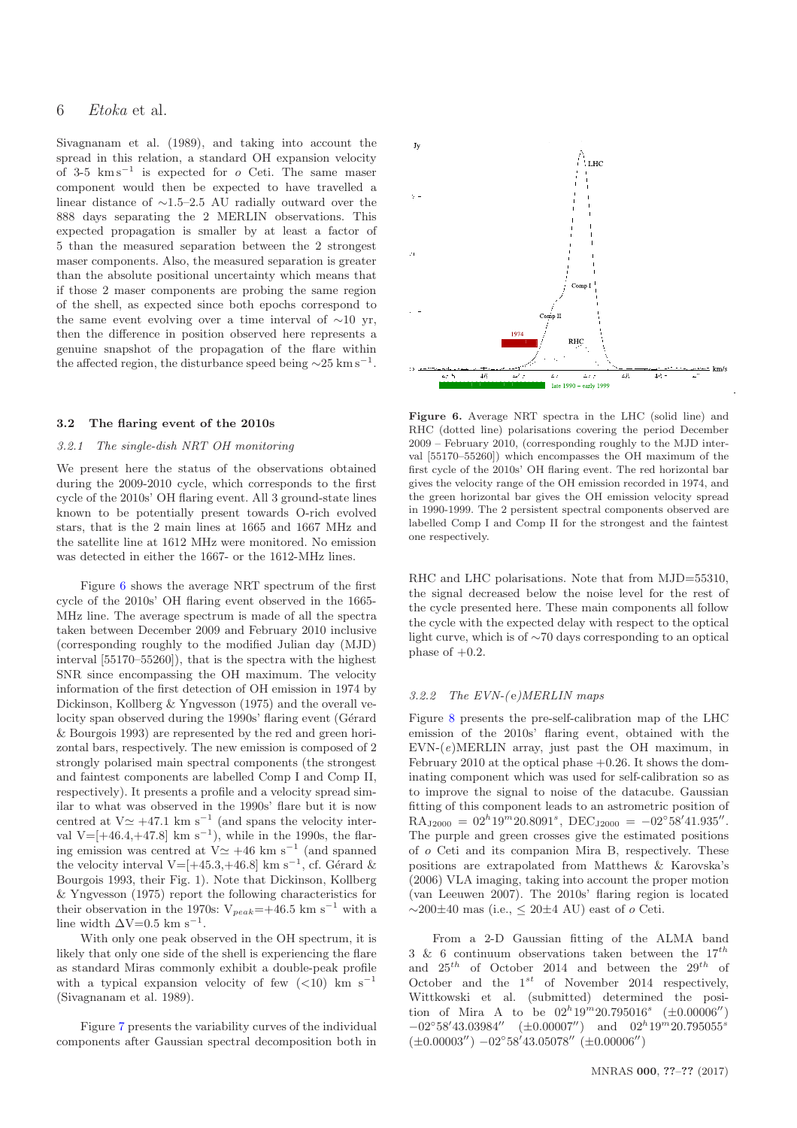Sivagnanam et al. (1989), and taking into account the spread in this relation, a standard OH expansion velocity of 3-5  $km s^{-1}$  is expected for o Ceti. The same maser component would then be expected to have travelled a linear distance of ∼1.5–2.5 AU radially outward over the 888 days separating the 2 MERLIN observations. This expected propagation is smaller by at least a factor of 5 than the measured separation between the 2 strongest maser components. Also, the measured separation is greater than the absolute positional uncertainty which means that if those 2 maser components are probing the same region of the shell, as expected since both epochs correspond to the same event evolving over a time interval of  $\sim$ 10 yr, then the difference in position observed here represents a genuine snapshot of the propagation of the flare within the affected region, the disturbance speed being  $\sim$ 25 km s<sup>-1</sup>.

#### 3.2 The flaring event of the 2010s

#### 3.2.1 The single-dish NRT OH monitoring

We present here the status of the observations obtained during the 2009-2010 cycle, which corresponds to the first cycle of the 2010s' OH flaring event. All 3 ground-state lines known to be potentially present towards O-rich evolved stars, that is the 2 main lines at 1665 and 1667 MHz and the satellite line at 1612 MHz were monitored. No emission was detected in either the 1667- or the 1612-MHz lines.

Figure [6](#page-5-0) shows the average NRT spectrum of the first cycle of the 2010s' OH flaring event observed in the 1665- MHz line. The average spectrum is made of all the spectra taken between December 2009 and February 2010 inclusive (corresponding roughly to the modified Julian day (MJD) interval [55170–55260]), that is the spectra with the highest SNR since encompassing the OH maximum. The velocity information of the first detection of OH emission in 1974 by Dickinson, Kollberg & Yngvesson (1975) and the overall velocity span observed during the 1990s' flaring event (Gérard & Bourgois 1993) are represented by the red and green horizontal bars, respectively. The new emission is composed of 2 strongly polarised main spectral components (the strongest and faintest components are labelled Comp I and Comp II, respectively). It presents a profile and a velocity spread similar to what was observed in the 1990s' flare but it is now centred at  $V \approx +47.1$  km s<sup>-1</sup> (and spans the velocity interval V=[+46.4,+47.8] km s<sup>-1</sup>), while in the 1990s, the flaring emission was centred at  $V \approx +46$  km s<sup>-1</sup> (and spanned the velocity interval V=[+45.3,+46.8] km s<sup>-1</sup>, cf. Gérard & Bourgois 1993, their Fig. 1). Note that Dickinson, Kollberg & Yngvesson (1975) report the following characteristics for their observation in the 1970s:  $V_{peak}$ =+46.5 km s<sup>-1</sup> with a line width  $\Delta V = 0.5$  km s<sup>-1</sup>.

With only one peak observed in the OH spectrum, it is likely that only one side of the shell is experiencing the flare as standard Miras commonly exhibit a double-peak profile with a typical expansion velocity of few  $(<10$ ) km s<sup>-1</sup> (Sivagnanam et al. 1989).

Figure [7](#page-6-0) presents the variability curves of the individual components after Gaussian spectral decomposition both in



<span id="page-5-0"></span>Figure 6. Average NRT spectra in the LHC (solid line) and RHC (dotted line) polarisations covering the period December 2009 – February 2010, (corresponding roughly to the MJD interval [55170–55260]) which encompasses the OH maximum of the first cycle of the 2010s' OH flaring event. The red horizontal bar gives the velocity range of the OH emission recorded in 1974, and the green horizontal bar gives the OH emission velocity spread in 1990-1999. The 2 persistent spectral components observed are labelled Comp I and Comp II for the strongest and the faintest one respectively.

RHC and LHC polarisations. Note that from MJD=55310, the signal decreased below the noise level for the rest of the cycle presented here. These main components all follow the cycle with the expected delay with respect to the optical light curve, which is of ∼70 days corresponding to an optical phase of  $+0.2$ .

#### 3.2.2 The  $EVN$ -(e)MERLIN maps

Figure [8](#page-6-1) presents the pre-self-calibration map of the LHC emission of the 2010s' flaring event, obtained with the  $EVN-(e)MERLIN$  array, just past the OH maximum, in February 2010 at the optical phase  $+0.26$ . It shows the dominating component which was used for self-calibration so as to improve the signal to noise of the datacube. Gaussian fitting of this component leads to an astrometric position of  $\text{RA}_{\text{J2000}} = 02^h 19^m 20.8091^s, \text{ DEC}_{\text{J2000}} = -02^\circ 58' 41.935''.$ The purple and green crosses give the estimated positions of o Ceti and its companion Mira B, respectively. These positions are extrapolated from Matthews & Karovska's (2006) VLA imaging, taking into account the proper motion (van Leeuwen 2007). The 2010s' flaring region is located  $\sim$ 200 $\pm$ 40 mas (i.e., < 20 $\pm$ 4 AU) east of  $\sigma$  Ceti.

From a 2-D Gaussian fitting of the ALMA band 3 & 6 continuum observations taken between the  $17^{th}$ and  $25^{th}$  of October 2014 and between the  $29^{th}$  of October and the  $1^{st}$  of November 2014 respectively, Wittkowski et al. (submitted) determined the position of Mira A to be  $02^{h}19^{m}20.795016^{s}$  ( $\pm 0.00006''$ )  $-02^{\circ}58'43.03984''$  (±0.00007") and  $02^h19^m20.795055^s$  $(\pm 0.00003'') - 02^{\circ}58'43.05078'' (\pm 0.00006'')$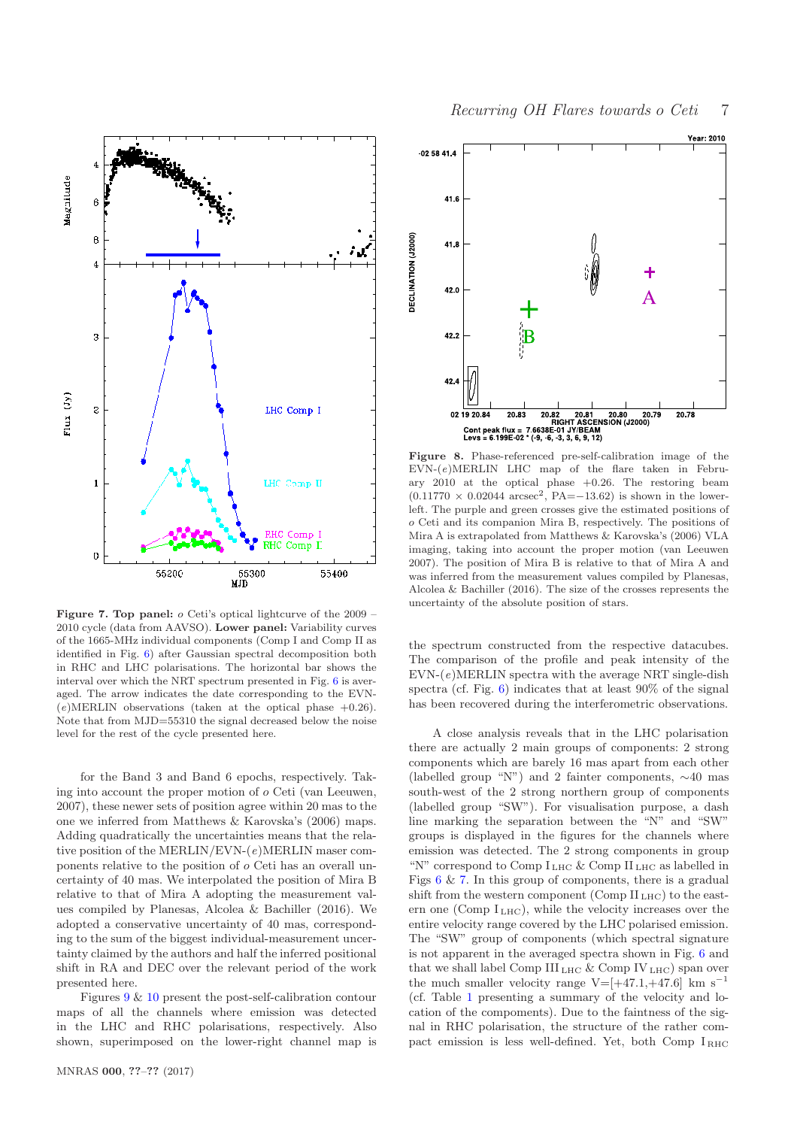

<span id="page-6-0"></span>Figure 7. Top panel:  $\sigma$  Ceti's optical lightcurve of the 2009 – 2010 cycle (data from AAVSO). Lower panel: Variability curves of the 1665-MHz individual components (Comp I and Comp II as identified in Fig. [6\)](#page-5-0) after Gaussian spectral decomposition both in RHC and LHC polarisations. The horizontal bar shows the interval over which the NRT spectrum presented in Fig. [6](#page-5-0) is averaged. The arrow indicates the date corresponding to the EVN-  $(e)$ MERLIN observations (taken at the optical phase  $+0.26$ ). Note that from MJD=55310 the signal decreased below the noise level for the rest of the cycle presented here.

for the Band 3 and Band 6 epochs, respectively. Taking into account the proper motion of o Ceti (van Leeuwen, 2007), these newer sets of position agree within 20 mas to the one we inferred from Matthews & Karovska's (2006) maps. Adding quadratically the uncertainties means that the relative position of the MERLIN/EVN-(e)MERLIN maser components relative to the position of o Ceti has an overall uncertainty of 40 mas. We interpolated the position of Mira B relative to that of Mira A adopting the measurement values compiled by Planesas, Alcolea & Bachiller (2016). We adopted a conservative uncertainty of 40 mas, corresponding to the sum of the biggest individual-measurement uncertainty claimed by the authors and half the inferred positional shift in RA and DEC over the relevant period of the work presented here.

Figures [9](#page-7-0) & [10](#page-7-1) present the post-self-calibration contour maps of all the channels where emission was detected in the LHC and RHC polarisations, respectively. Also shown, superimposed on the lower-right channel map is



<span id="page-6-1"></span>Figure 8. Phase-referenced pre-self-calibration image of the  $EVN-(e)MERLIN$  LHC map of the flare taken in February 2010 at the optical phase +0.26. The restoring beam  $(0.11770 \times 0.02044 \text{ arcsec}^2, PA = -13.62)$  is shown in the lowerleft. The purple and green crosses give the estimated positions of o Ceti and its companion Mira B, respectively. The positions of Mira A is extrapolated from Matthews & Karovska's (2006) VLA imaging, taking into account the proper motion (van Leeuwen 2007). The position of Mira B is relative to that of Mira A and was inferred from the measurement values compiled by Planesas. Alcolea & Bachiller (2016). The size of the crosses represents the uncertainty of the absolute position of stars.

the spectrum constructed from the respective datacubes. The comparison of the profile and peak intensity of the  $EVN-(e)MERLIN$  spectra with the average NRT single-dish spectra (cf. Fig. [6\)](#page-5-0) indicates that at least  $90\%$  of the signal has been recovered during the interferometric observations.

A close analysis reveals that in the LHC polarisation there are actually 2 main groups of components: 2 strong components which are barely 16 mas apart from each other (labelled group "N") and 2 fainter components, ∼40 mas south-west of the 2 strong northern group of components (labelled group "SW"). For visualisation purpose, a dash line marking the separation between the "N" and "SW" groups is displayed in the figures for the channels where emission was detected. The 2 strong components in group "N" correspond to Comp  $I_{LHC}$  & Comp  $II_{LHC}$  as labelled in Figs  $6 \& 7$  $6 \& 7$ . In this group of components, there is a gradual shift from the western component (Comp  $II<sub>LHC</sub>$ ) to the eastern one (Comp  $I_{LHC}$ ), while the velocity increases over the entire velocity range covered by the LHC polarised emission. The "SW" group of components (which spectral signature is not apparent in the averaged spectra shown in Fig. [6](#page-5-0) and that we shall label Comp III<sub>LHC</sub> & Comp IV<sub>LHC</sub>) span over the much smaller velocity range V=[+47.1,+47.6] km  $\rm s^{-1}$ (cf. Table [1](#page-8-1) presenting a summary of the velocity and location of the compoments). Due to the faintness of the signal in RHC polarisation, the structure of the rather compact emission is less well-defined. Yet, both Comp  $I_{BHC}$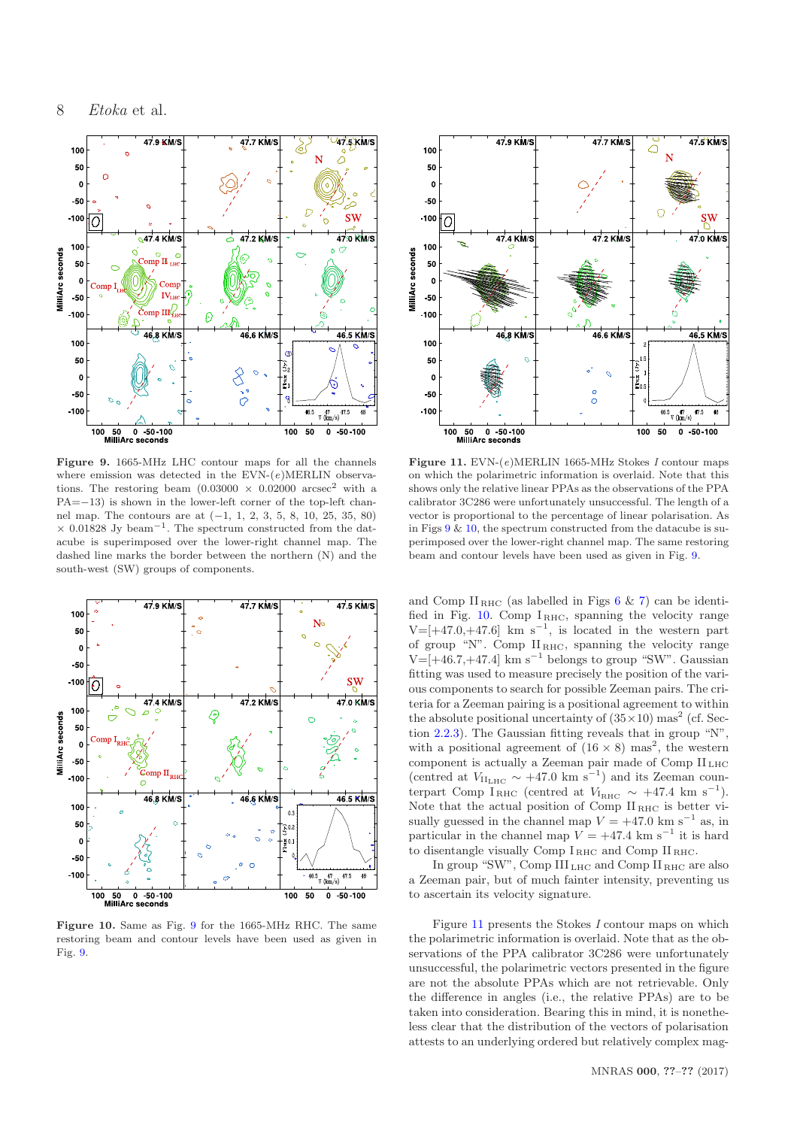

<span id="page-7-0"></span>Figure 9. 1665-MHz LHC contour maps for all the channels where emission was detected in the  $EVN-(e)MERLIN$  observations. The restoring beam  $(0.03000 \times 0.02000 \text{ arcsec}^2 \text{ with a})$ PA=−13) is shown in the lower-left corner of the top-left channel map. The contours are at (−1, 1, 2, 3, 5, 8, 10, 25, 35, 80)  $\times$  0.01828 Jy beam<sup>-1</sup>. The spectrum constructed from the datacube is superimposed over the lower-right channel map. The dashed line marks the border between the northern (N) and the south-west (SW) groups of components.



<span id="page-7-1"></span>Figure 10. Same as Fig. [9](#page-7-0) for the 1665-MHz RHC. The same restoring beam and contour levels have been used as given in Fig. [9.](#page-7-0)



<span id="page-7-2"></span>Figure 11. EVN- $(e)$ MERLIN 1665-MHz Stokes I contour maps on which the polarimetric information is overlaid. Note that this shows only the relative linear PPAs as the observations of the PPA calibrator 3C286 were unfortunately unsuccessful. The length of a vector is proportional to the percentage of linear polarisation. As in Figs  $9 \& 10$  $9 \& 10$ , the spectrum constructed from the datacube is superimposed over the lower-right channel map. The same restoring beam and contour levels have been used as given in Fig. [9.](#page-7-0)

and Comp  $II<sub>RHC</sub>$  (as labelled in Figs [6](#page-5-0) & [7\)](#page-6-0) can be identified in Fig.  $10$ . Comp  $I_{RHC}$ , spanning the velocity range  $V=[+47.0,+47.6]$  km s<sup>-1</sup>, is located in the western part of group "N". Comp  $II<sub>RHC</sub>$ , spanning the velocity range  $V=[+46.7,+47.4]$  km s<sup>-1</sup> belongs to group "SW". Gaussian fitting was used to measure precisely the position of the various components to search for possible Zeeman pairs. The criteria for a Zeeman pairing is a positional agreement to within the absolute positional uncertainty of  $(35 \times 10)$  mas<sup>2</sup> (cf. Section [2.2.3\)](#page-2-2). The Gaussian fitting reveals that in group "N", with a positional agreement of  $(16 \times 8)$  mas<sup>2</sup>, the western component is actually a Zeeman pair made of Comp II LHC (centred at  $V_{\text{II}_{\text{LHC}}} \sim +47.0 \text{ km s}^{-1}$ ) and its Zeeman counterpart Comp I<sub>RHC</sub> (centred at  $V_{\text{IRHC}} \sim +47.4 \text{ km s}^{-1}$ ). Note that the actual position of Comp II RHC is better visually guessed in the channel map  $V = +47.0 \text{ km s}^{-1}$  as, in particular in the channel map  $V = +47.4$  km s<sup>-1</sup> it is hard to disentangle visually Comp  $\bar{I}_{\,\rm RHC}$  and Comp  $\bar{II}_{\,\rm RHC}.$ 

In group "SW", Comp III<sub>LHC</sub> and Comp II<sub>RHC</sub> are also a Zeeman pair, but of much fainter intensity, preventing us to ascertain its velocity signature.

Figure [11](#page-7-2) presents the Stokes I contour maps on which the polarimetric information is overlaid. Note that as the observations of the PPA calibrator 3C286 were unfortunately unsuccessful, the polarimetric vectors presented in the figure are not the absolute PPAs which are not retrievable. Only the difference in angles (i.e., the relative PPAs) are to be taken into consideration. Bearing this in mind, it is nonetheless clear that the distribution of the vectors of polarisation attests to an underlying ordered but relatively complex mag-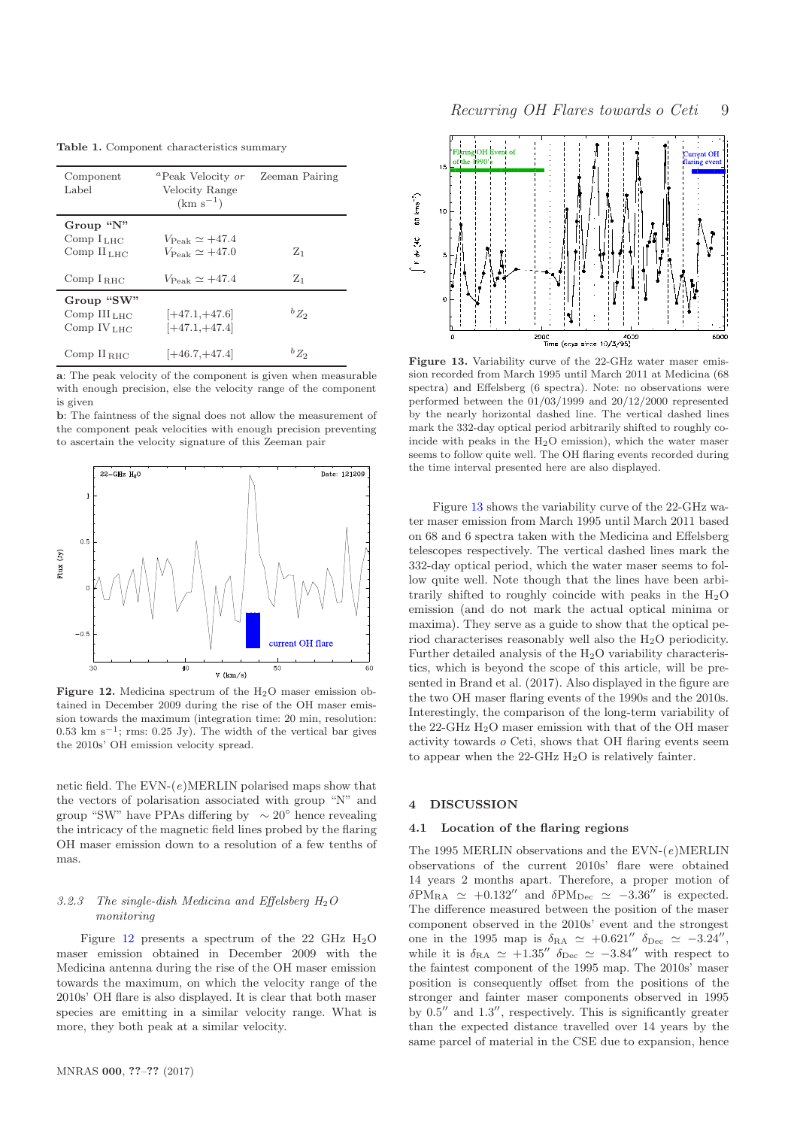Table 1. Component characteristics summary

<span id="page-8-1"></span>

| Component<br>Label                                    | <sup>a</sup> Peak Velocity or Zeeman Pairing<br>Velocity Range<br>$(km s^{-1})$ |           |  |
|-------------------------------------------------------|---------------------------------------------------------------------------------|-----------|--|
| Group " $N$ "<br>Comp $ILHC$<br>$Comp$ $HLHC$         | $V_{\rm Peak} \simeq +47.4$<br>$V_{\rm peak} \simeq +47.0$                      | $Z_1$     |  |
| Comp $I_{BHC}$                                        | $V_{\rm Peak} \simeq +47.4$                                                     | $Z_1$     |  |
| Group "SW"<br>Comp $IIILHC$<br>Comp IV <sub>LHC</sub> | $ +47.1,+47.6 $<br>$[-47.1, +47.4]$                                             | ${}^bZ_2$ |  |
| Comp $II_{BHC}$                                       | $ +46.7,+47.4 $                                                                 | ${}^bZ_2$ |  |

a: The peak velocity of the component is given when measurable with enough precision, else the velocity range of the component is given

b: The faintness of the signal does not allow the measurement of the component peak velocities with enough precision preventing to ascertain the velocity signature of this Zeeman pair



<span id="page-8-2"></span>Figure 12. Medicina spectrum of the  $H_2O$  maser emission obtained in December 2009 during the rise of the OH maser emission towards the maximum (integration time: 20 min, resolution:  $0.53 \text{ km s}^{-1}$ ; rms: 0.25 Jy). The width of the vertical bar gives the 2010s' OH emission velocity spread.

netic field. The  $EVN-(e)MERLIN$  polarised maps show that the vectors of polarisation associated with group "N" and group "SW" have PPAs differing by ∼ 20◦ hence revealing the intricacy of the magnetic field lines probed by the flaring OH maser emission down to a resolution of a few tenths of mas.

# <span id="page-8-4"></span>3.2.3 The single-dish Medicina and Effelsberg  $H_2O$ monitoring

Figure [12](#page-8-2) presents a spectrum of the 22 GHz  $H_2O$ maser emission obtained in December 2009 with the Medicina antenna during the rise of the OH maser emission towards the maximum, on which the velocity range of the 2010s' OH flare is also displayed. It is clear that both maser species are emitting in a similar velocity range. What is more, they both peak at a similar velocity.



<span id="page-8-3"></span>Figure 13. Variability curve of the 22-GHz water maser emission recorded from March 1995 until March 2011 at Medicina (68 spectra) and Effelsberg (6 spectra). Note: no observations were performed between the 01/03/1999 and 20/12/2000 represented by the nearly horizontal dashed line. The vertical dashed lines mark the 332-day optical period arbitrarily shifted to roughly coincide with peaks in the  $H<sub>2</sub>O$  emission), which the water maser seems to follow quite well. The OH flaring events recorded during the time interval presented here are also displayed.

Figure [13](#page-8-3) shows the variability curve of the 22-GHz water maser emission from March 1995 until March 2011 based on 68 and 6 spectra taken with the Medicina and Effelsberg telescopes respectively. The vertical dashed lines mark the 332-day optical period, which the water maser seems to follow quite well. Note though that the lines have been arbitrarily shifted to roughly coincide with peaks in the  $H_2O$ emission (and do not mark the actual optical minima or maxima). They serve as a guide to show that the optical period characterises reasonably well also the  $H_2O$  periodicity. Further detailed analysis of the  $H<sub>2</sub>O$  variability characteristics, which is beyond the scope of this article, will be presented in Brand et al. (2017). Also displayed in the figure are the two OH maser flaring events of the 1990s and the 2010s. Interestingly, the comparison of the long-term variability of the 22-GHz H2O maser emission with that of the OH maser activity towards o Ceti, shows that OH flaring events seem to appear when the  $22-\text{GHz H}_2\text{O}$  is relatively fainter.

# <span id="page-8-0"></span>**DISCUSSION**

# 4.1 Location of the flaring regions

The 1995 MERLIN observations and the  $EVN-(e)MERLIN$ observations of the current 2010s' flare were obtained 14 years 2 months apart. Therefore, a proper motion of  $\delta PM_{RA} \simeq +0.132''$  and  $\delta PM_{Dec} \simeq -3.36''$  is expected. The difference measured between the position of the maser component observed in the 2010s' event and the strongest one in the 1995 map is  $\delta_{\text{RA}} \simeq +0.621'' \delta_{\text{Dec}} \simeq -3.24''$ , while it is  $\delta_{\text{RA}} \simeq +1.35'' \, \delta_{\text{Dec}} \simeq -3.84''$  with respect to the faintest component of the 1995 map. The 2010s' maser position is consequently offset from the positions of the stronger and fainter maser components observed in 1995 by  $0.5''$  and  $1.3''$ , respectively. This is significantly greater than the expected distance travelled over 14 years by the same parcel of material in the CSE due to expansion, hence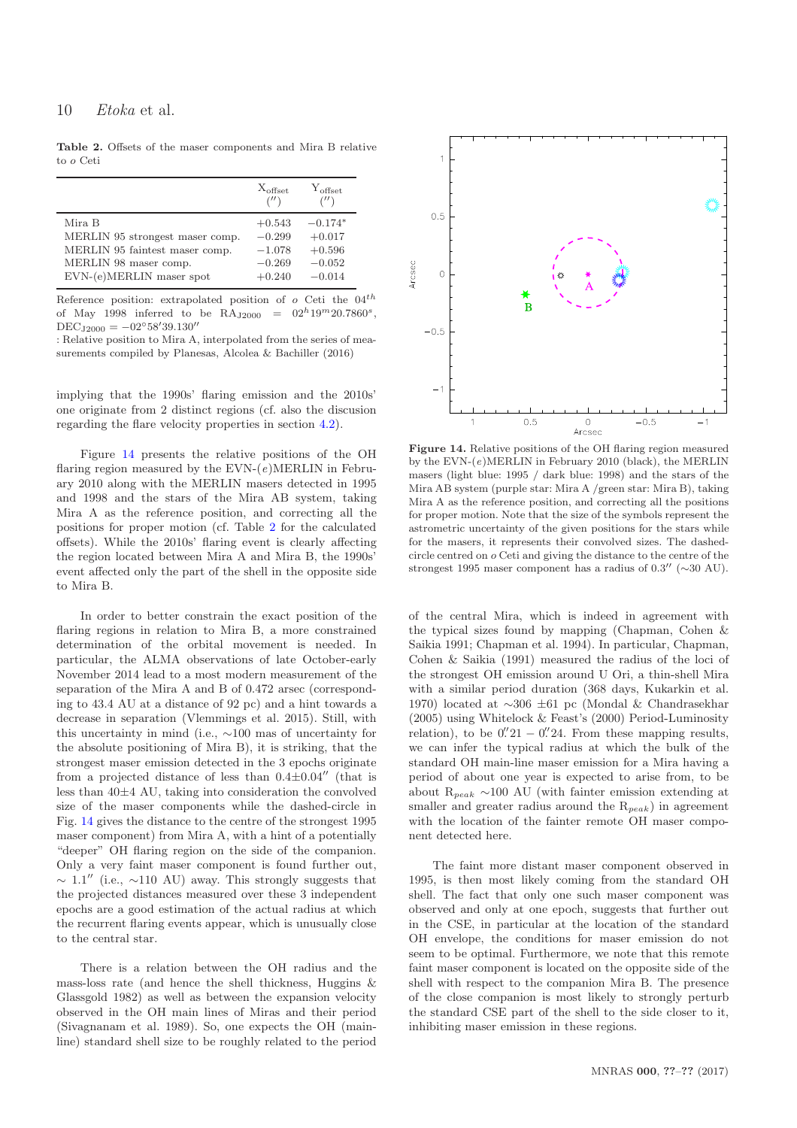<span id="page-9-1"></span>Table 2. Offsets of the maser components and Mira B relative to o Ceti

|                                 | $X_{\text{offset}}$<br>('') | $Y_{\text{offset}}$<br>('') |
|---------------------------------|-----------------------------|-----------------------------|
| Mira B                          | $+0.543$                    | $-0.174*$                   |
| MERLIN 95 strongest maser comp. | $-0.299$                    | $+0.017$                    |
| MERLIN 95 faintest maser comp.  | $-1.078$                    | $+0.596$                    |
| MERLIN 98 maser comp.           | $-0.269$                    | $-0.052$                    |
| EVN-(e)MERLIN maser spot        | $+0.240$                    | $-0.014$                    |

Reference position: extrapolated position of  $o$  Ceti the  $04^{th}$ of May 1998 inferred to be  $\text{RA}_{\text{J2000}} = 02^h 19^m 20.7860^s$ ,  $DEC_{J2000} = -02°58'39.130''$ 

: Relative position to Mira A, interpolated from the series of measurements compiled by Planesas, Alcolea & Bachiller (2016)

implying that the 1990s' flaring emission and the 2010s' one originate from 2 distinct regions (cf. also the discusion regarding the flare velocity properties in section [4.2\)](#page-10-0).

Figure [14](#page-9-0) presents the relative positions of the OH flaring region measured by the  $EVN-(e)MERLIN$  in February 2010 along with the MERLIN masers detected in 1995 and 1998 and the stars of the Mira AB system, taking Mira A as the reference position, and correcting all the positions for proper motion (cf. Table [2](#page-9-1) for the calculated offsets). While the 2010s' flaring event is clearly affecting the region located between Mira A and Mira B, the 1990s' event affected only the part of the shell in the opposite side to Mira B.

In order to better constrain the exact position of the flaring regions in relation to Mira B, a more constrained determination of the orbital movement is needed. In particular, the ALMA observations of late October-early November 2014 lead to a most modern measurement of the separation of the Mira A and B of 0.472 arsec (corresponding to 43.4 AU at a distance of 92 pc) and a hint towards a decrease in separation (Vlemmings et al. 2015). Still, with this uncertainty in mind (i.e., ∼100 mas of uncertainty for the absolute positioning of Mira B), it is striking, that the strongest maser emission detected in the 3 epochs originate from a projected distance of less than  $0.4\pm0.04''$  (that is less than 40±4 AU, taking into consideration the convolved size of the maser components while the dashed-circle in Fig. [14](#page-9-0) gives the distance to the centre of the strongest 1995 maser component) from Mira A, with a hint of a potentially "deeper" OH flaring region on the side of the companion. Only a very faint maser component is found further out,  $\sim 1.1''$  (i.e.,  $\sim$ 110 AU) away. This strongly suggests that the projected distances measured over these 3 independent epochs are a good estimation of the actual radius at which the recurrent flaring events appear, which is unusually close to the central star.

There is a relation between the OH radius and the mass-loss rate (and hence the shell thickness, Huggins & Glassgold 1982) as well as between the expansion velocity observed in the OH main lines of Miras and their period (Sivagnanam et al. 1989). So, one expects the OH (mainline) standard shell size to be roughly related to the period



<span id="page-9-0"></span>Figure 14. Relative positions of the OH flaring region measured by the  $EVN-(e)MERLIN$  in February 2010 (black), the MERLIN masers (light blue: 1995 / dark blue: 1998) and the stars of the Mira AB system (purple star: Mira A /green star: Mira B), taking Mira A as the reference position, and correcting all the positions for proper motion. Note that the size of the symbols represent the astrometric uncertainty of the given positions for the stars while for the masers, it represents their convolved sizes. The dashedcircle centred on o Ceti and giving the distance to the centre of the strongest 1995 maser component has a radius of  $0.3''$  ( $\sim$ 30 AU).

of the central Mira, which is indeed in agreement with the typical sizes found by mapping (Chapman, Cohen & Saikia 1991; Chapman et al. 1994). In particular, Chapman, Cohen & Saikia (1991) measured the radius of the loci of the strongest OH emission around U Ori, a thin-shell Mira with a similar period duration (368 days, Kukarkin et al. 1970) located at ∼306 ±61 pc (Mondal & Chandrasekhar (2005) using Whitelock & Feast's (2000) Period-Luminosity relation), to be  $0''/21 - 0''/24$ . From these mapping results, we can infer the typical radius at which the bulk of the standard OH main-line maser emission for a Mira having a period of about one year is expected to arise from, to be about  $R_{peak} \sim 100$  AU (with fainter emission extending at smaller and greater radius around the  $R_{peak}$ ) in agreement with the location of the fainter remote OH maser component detected here.

The faint more distant maser component observed in 1995, is then most likely coming from the standard OH shell. The fact that only one such maser component was observed and only at one epoch, suggests that further out in the CSE, in particular at the location of the standard OH envelope, the conditions for maser emission do not seem to be optimal. Furthermore, we note that this remote faint maser component is located on the opposite side of the shell with respect to the companion Mira B. The presence of the close companion is most likely to strongly perturb the standard CSE part of the shell to the side closer to it, inhibiting maser emission in these regions.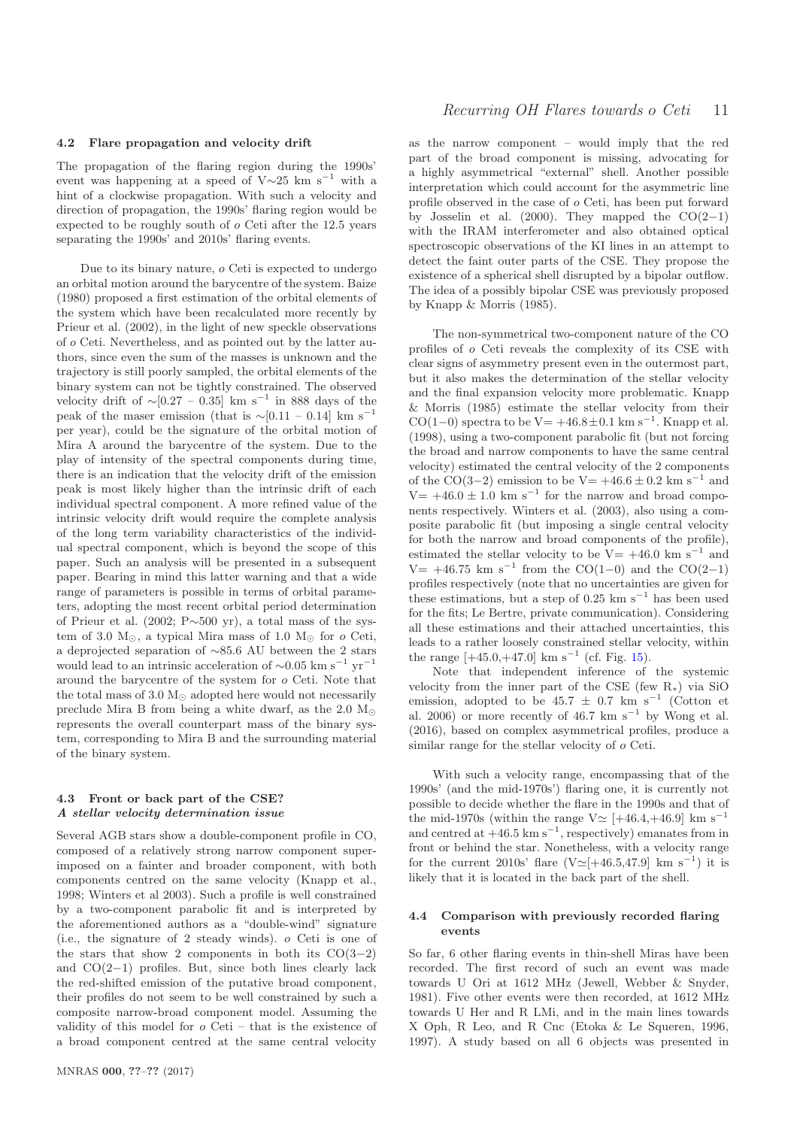#### <span id="page-10-0"></span>4.2 Flare propagation and velocity drift

The propagation of the flaring region during the 1990s' event was happening at a speed of  $V\sim$ 25 km s<sup>−1</sup> with a hint of a clockwise propagation. With such a velocity and direction of propagation, the 1990s' flaring region would be expected to be roughly south of o Ceti after the 12.5 years separating the 1990s' and 2010s' flaring events.

Due to its binary nature, o Ceti is expected to undergo an orbital motion around the barycentre of the system. Baize (1980) proposed a first estimation of the orbital elements of the system which have been recalculated more recently by Prieur et al. (2002), in the light of new speckle observations of o Ceti. Nevertheless, and as pointed out by the latter authors, since even the sum of the masses is unknown and the trajectory is still poorly sampled, the orbital elements of the binary system can not be tightly constrained. The observed velocity drift of  $\sim$ [0.27 – 0.35] km s<sup>-1</sup> in 888 days of the peak of the maser emission (that is  $\sim$ [0.11 – 0.14] km s<sup>−1</sup> per year), could be the signature of the orbital motion of Mira A around the barycentre of the system. Due to the play of intensity of the spectral components during time, there is an indication that the velocity drift of the emission peak is most likely higher than the intrinsic drift of each individual spectral component. A more refined value of the intrinsic velocity drift would require the complete analysis of the long term variability characteristics of the individual spectral component, which is beyond the scope of this paper. Such an analysis will be presented in a subsequent paper. Bearing in mind this latter warning and that a wide range of parameters is possible in terms of orbital parameters, adopting the most recent orbital period determination of Prieur et al. (2002; P∼500 yr), a total mass of the system of 3.0  $M_{\odot}$ , a typical Mira mass of 1.0  $M_{\odot}$  for o Ceti, a deprojected separation of ∼85.6 AU between the 2 stars would lead to an intrinsic acceleration of  $\sim 0.05$  km s<sup>-1</sup> yr<sup>-1</sup> around the barycentre of the system for o Ceti. Note that the total mass of 3.0  $M_{\odot}$  adopted here would not necessarily preclude Mira B from being a white dwarf, as the 2.0  $M_{\odot}$ represents the overall counterpart mass of the binary system, corresponding to Mira B and the surrounding material of the binary system.

# 4.3 Front or back part of the CSE? A stellar velocity determination issue

Several AGB stars show a double-component profile in CO, composed of a relatively strong narrow component superimposed on a fainter and broader component, with both components centred on the same velocity (Knapp et al., 1998; Winters et al 2003). Such a profile is well constrained by a two-component parabolic fit and is interpreted by the aforementioned authors as a "double-wind" signature (i.e., the signature of 2 steady winds). o Ceti is one of the stars that show 2 components in both its  $CO(3-2)$ and CO(2−1) profiles. But, since both lines clearly lack the red-shifted emission of the putative broad component, their profiles do not seem to be well constrained by such a composite narrow-broad component model. Assuming the validity of this model for o Ceti – that is the existence of a broad component centred at the same central velocity

as the narrow component – would imply that the red part of the broad component is missing, advocating for a highly asymmetrical "external" shell. Another possible interpretation which could account for the asymmetric line profile observed in the case of o Ceti, has been put forward by Josselin et al. (2000). They mapped the  $CO(2-1)$ with the IRAM interferometer and also obtained optical spectroscopic observations of the KI lines in an attempt to detect the faint outer parts of the CSE. They propose the existence of a spherical shell disrupted by a bipolar outflow. The idea of a possibly bipolar CSE was previously proposed by Knapp & Morris (1985).

The non-symmetrical two-component nature of the CO profiles of o Ceti reveals the complexity of its CSE with clear signs of asymmetry present even in the outermost part, but it also makes the determination of the stellar velocity and the final expansion velocity more problematic. Knapp & Morris (1985) estimate the stellar velocity from their CO(1–0) spectra to be  $V = +46.8 \pm 0.1$  km s<sup>-1</sup>. Knapp et al. (1998), using a two-component parabolic fit (but not forcing the broad and narrow components to have the same central velocity) estimated the central velocity of the 2 components of the CO(3–2) emission to be  $V = +46.6 \pm 0.2$  km s<sup>-1</sup> and  $V= +46.0 \pm 1.0$  km s<sup>-1</sup> for the narrow and broad components respectively. Winters et al. (2003), also using a composite parabolic fit (but imposing a single central velocity for both the narrow and broad components of the profile), estimated the stellar velocity to be  $V= +46.0 \text{ km s}^{-1}$  and V = +46.75 km s<sup>-1</sup> from the CO(1–0) and the CO(2–1) profiles respectively (note that no uncertainties are given for these estimations, but a step of  $0.25 \text{ km s}^{-1}$  has been used for the fits; Le Bertre, private communication). Considering all these estimations and their attached uncertainties, this leads to a rather loosely constrained stellar velocity, within the range  $[+45.0,+47.0]$  km s<sup>-1</sup> (cf. Fig. [15\)](#page-11-0).

Note that independent inference of the systemic velocity from the inner part of the CSE (few  $R_*$ ) via SiO emission, adopted to be  $45.7 \pm 0.7$  km s<sup>-1</sup> (Cotton et al. 2006) or more recently of 46.7 km s<sup>-1</sup> by Wong et al. (2016), based on complex asymmetrical profiles, produce a similar range for the stellar velocity of o Ceti.

With such a velocity range, encompassing that of the 1990s' (and the mid-1970s') flaring one, it is currently not possible to decide whether the flare in the 1990s and that of the mid-1970s (within the range V $\simeq$  [+46.4,+46.9] km s<sup>-1</sup> and centred at  $+46.5 \text{ km s}^{-1}$ , respectively) emanates from in front or behind the star. Nonetheless, with a velocity range for the current 2010s' flare  $(V \approx [+46.5, 47.9]$  km s<sup>-1</sup>) it is likely that it is located in the back part of the shell.

## <span id="page-10-1"></span>4.4 Comparison with previously recorded flaring events

So far, 6 other flaring events in thin-shell Miras have been recorded. The first record of such an event was made towards U Ori at 1612 MHz (Jewell, Webber & Snyder, 1981). Five other events were then recorded, at 1612 MHz towards U Her and R LMi, and in the main lines towards X Oph, R Leo, and R Cnc (Etoka & Le Squeren, 1996, 1997). A study based on all 6 objects was presented in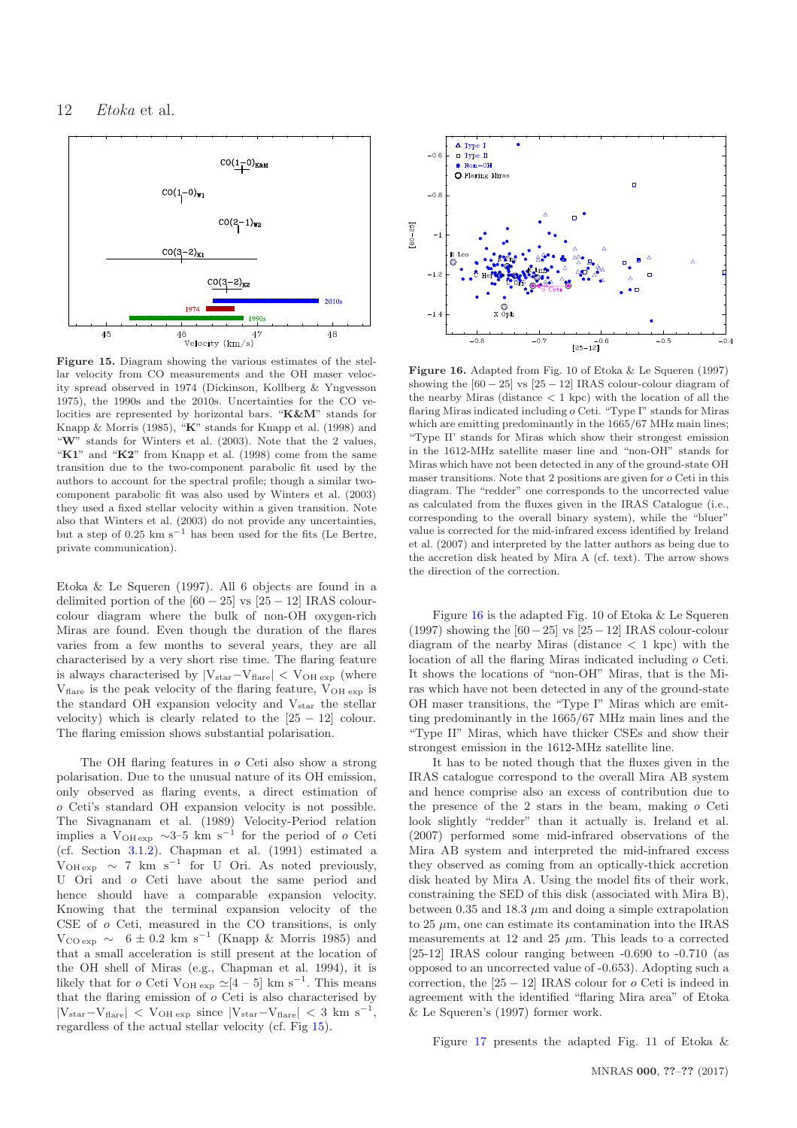

<span id="page-11-0"></span>Figure 15. Diagram showing the various estimates of the stellar velocity from CO measurements and the OH maser velocity spread observed in 1974 (Dickinson, Kollberg & Yngvesson 1975), the 1990s and the 2010s. Uncertainties for the CO velocities are represented by horizontal bars. "K&M" stands for Knapp & Morris (1985), "K" stands for Knapp et al. (1998) and "W" stands for Winters et al. (2003). Note that the 2 values, "K1" and "K2" from Knapp et al. (1998) come from the same transition due to the two-component parabolic fit used by the authors to account for the spectral profile; though a similar twocomponent parabolic fit was also used by Winters et al. (2003) they used a fixed stellar velocity within a given transition. Note also that Winters et al. (2003) do not provide any uncertainties, but a step of 0.25 km s<sup> $-1$ </sup> has been used for the fits (Le Bertre, private communication).

Etoka & Le Squeren (1997). All 6 objects are found in a delimited portion of the  $[60 - 25]$  vs  $[25 - 12]$  IRAS colourcolour diagram where the bulk of non-OH oxygen-rich Miras are found. Even though the duration of the flares varies from a few months to several years, they are all characterised by a very short rise time. The flaring feature is always characterised by  $|V_{star}-V_{flare}| < V_{OH}$  exp (where  $V_{\text{flare}}$  is the peak velocity of the flaring feature,  $V_{\text{OH exp}}$  is the standard OH expansion velocity and  $V_{star}$  the stellar velocity) which is clearly related to the  $[25 - 12]$  colour. The flaring emission shows substantial polarisation.

The OH flaring features in o Ceti also show a strong polarisation. Due to the unusual nature of its OH emission, only observed as flaring events, a direct estimation of o Ceti's standard OH expansion velocity is not possible. The Sivagnanam et al. (1989) Velocity-Period relation implies a V<sub>OH exp</sub>  $\sim$ 3–5 km s<sup>-1</sup> for the period of *o* Ceti (cf. Section [3.1.2\)](#page-4-0). Chapman et al. (1991) estimated a  $V_{\text{OH exp}} \sim 7 \text{ km s}^{-1}$  for U Ori. As noted previously, U Ori and o Ceti have about the same period and hence should have a comparable expansion velocity. Knowing that the terminal expansion velocity of the CSE of o Ceti, measured in the CO transitions, is only  $V_{\text{CO exp}} \sim 6 \pm 0.2 \text{ km s}^{-1}$  (Knapp & Morris 1985) and that a small acceleration is still present at the location of the OH shell of Miras (e.g., Chapman et al. 1994), it is likely that for *o* Ceti V<sub>OH exp</sub>  $\simeq$  [4 – 5] km s<sup>-1</sup>. This means that the flaring emission of  $o$  Ceti is also characterised by  $|V_{star}-V_{flare}|$  <  $V_{OH}$  exp since  $|V_{star}-V_{flare}|$  < 3 km s<sup>-1</sup>, regardless of the actual stellar velocity (cf. Fig [15\)](#page-11-0).



<span id="page-11-1"></span>Figure 16. Adapted from Fig. 10 of Etoka & Le Squeren (1997) showing the  $[60 - 25]$  vs  $[25 - 12]$  IRAS colour-colour diagram of the nearby Miras (distance  $\langle 1 \text{ kpc} \rangle$  with the location of all the flaring Miras indicated including o Ceti. "Type I" stands for Miras which are emitting predominantly in the 1665/67 MHz main lines; "Type II' stands for Miras which show their strongest emission in the 1612-MHz satellite maser line and "non-OH" stands for Miras which have not been detected in any of the ground-state OH maser transitions. Note that 2 positions are given for  $o$  Ceti in this diagram. The "redder" one corresponds to the uncorrected value as calculated from the fluxes given in the IRAS Catalogue (i.e., corresponding to the overall binary system), while the "bluer" value is corrected for the mid-infrared excess identified by Ireland et al. (2007) and interpreted by the latter authors as being due to the accretion disk heated by Mira A (cf. text). The arrow shows the direction of the correction.

Figure [16](#page-11-1) is the adapted Fig. 10 of Etoka & Le Squeren (1997) showing the  $[60-25]$  vs  $[25-12]$  IRAS colour-colour diagram of the nearby Miras (distance  $\langle 1 \text{ kpc} \rangle$  with the location of all the flaring Miras indicated including o Ceti. It shows the locations of "non-OH" Miras, that is the Miras which have not been detected in any of the ground-state OH maser transitions, the "Type I" Miras which are emitting predominantly in the 1665/67 MHz main lines and the "Type II" Miras, which have thicker CSEs and show their strongest emission in the 1612-MHz satellite line.

It has to be noted though that the fluxes given in the IRAS catalogue correspond to the overall Mira AB system and hence comprise also an excess of contribution due to the presence of the 2 stars in the beam, making o Ceti look slightly "redder" than it actually is. Ireland et al. (2007) performed some mid-infrared observations of the Mira AB system and interpreted the mid-infrared excess they observed as coming from an optically-thick accretion disk heated by Mira A. Using the model fits of their work, constraining the SED of this disk (associated with Mira B), between 0.35 and 18.3  $\mu$ m and doing a simple extrapolation to  $25 \mu m$ , one can estimate its contamination into the IRAS measurements at 12 and 25  $\mu$ m. This leads to a corrected [25-12] IRAS colour ranging between -0.690 to -0.710 (as opposed to an uncorrected value of -0.653). Adopting such a correction, the  $[25 - 12]$  IRAS colour for  $o$  Ceti is indeed in agreement with the identified "flaring Mira area" of Etoka & Le Squeren's (1997) former work.

Figure [17](#page-12-0) presents the adapted Fig. 11 of Etoka &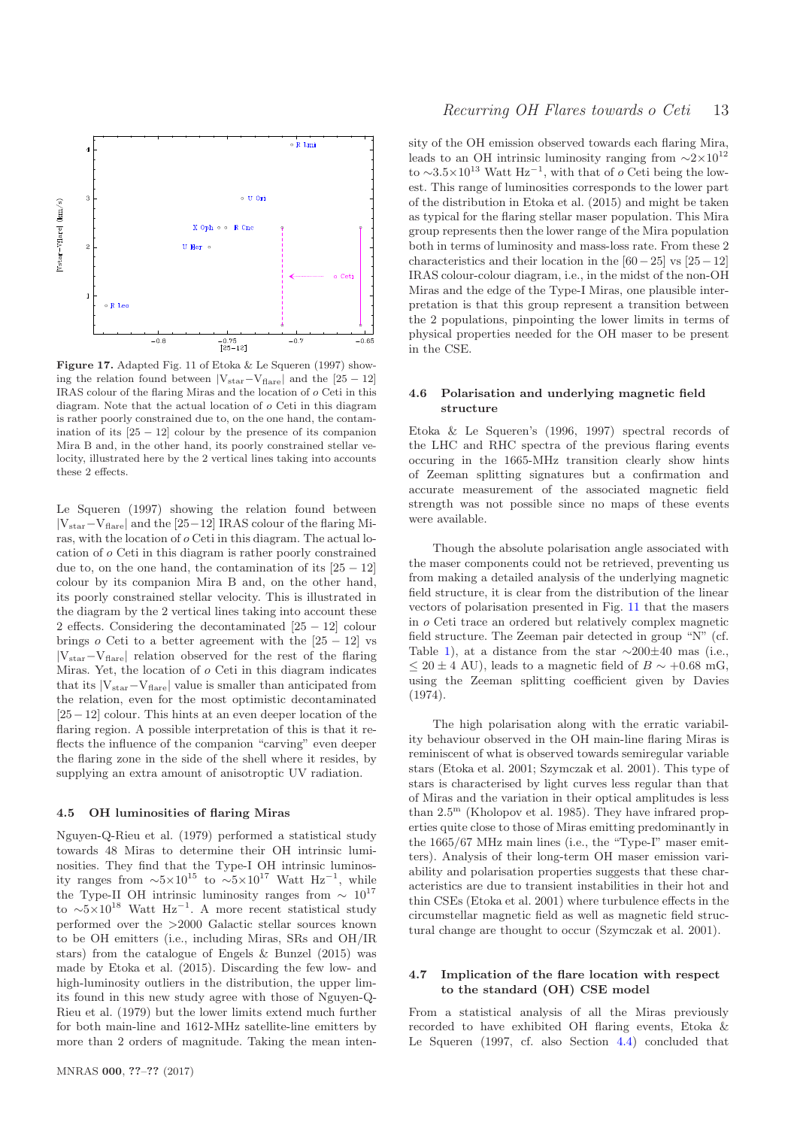

<span id="page-12-0"></span>Figure 17. Adapted Fig. 11 of Etoka & Le Squeren (1997) showing the relation found between  $|V_{star}-V_{flare}|$  and the [25 – 12] IRAS colour of the flaring Miras and the location of o Ceti in this diagram. Note that the actual location of o Ceti in this diagram is rather poorly constrained due to, on the one hand, the contamination of its  $[25 - 12]$  colour by the presence of its companion Mira B and, in the other hand, its poorly constrained stellar velocity, illustrated here by the 2 vertical lines taking into accounts these 2 effects.

Le Squeren (1997) showing the relation found between |Vstar−Vflare| and the [25−12] IRAS colour of the flaring Miras, with the location of o Ceti in this diagram. The actual location of o Ceti in this diagram is rather poorly constrained due to, on the one hand, the contamination of its  $[25 - 12]$ colour by its companion Mira B and, on the other hand, its poorly constrained stellar velocity. This is illustrated in the diagram by the 2 vertical lines taking into account these 2 effects. Considering the decontaminated [25 − 12] colour brings  $o$  Ceti to a better agreement with the  $[25 - 12]$  vs  $|V_{star}-V_{flare}|$  relation observed for the rest of the flaring Miras. Yet, the location of o Ceti in this diagram indicates that its  $|V_{star}-V_{flare}|$  value is smaller than anticipated from the relation, even for the most optimistic decontaminated [25−12] colour. This hints at an even deeper location of the flaring region. A possible interpretation of this is that it reflects the influence of the companion "carving" even deeper the flaring zone in the side of the shell where it resides, by supplying an extra amount of anisotroptic UV radiation.

## 4.5 OH luminosities of flaring Miras

Nguyen-Q-Rieu et al. (1979) performed a statistical study towards 48 Miras to determine their OH intrinsic luminosities. They find that the Type-I OH intrinsic luminosity ranges from  $\sim 5 \times 10^{15}$  to  $\sim 5 \times 10^{17}$  Watt Hz<sup>-1</sup>, while the Type-II OH intrinsic luminosity ranges from  $\sim 10^{17}$ to  $\sim 5 \times 10^{18}$  Watt Hz<sup>-1</sup>. A more recent statistical study performed over the >2000 Galactic stellar sources known to be OH emitters (i.e., including Miras, SRs and OH/IR stars) from the catalogue of Engels & Bunzel (2015) was made by Etoka et al. (2015). Discarding the few low- and high-luminosity outliers in the distribution, the upper limits found in this new study agree with those of Nguyen-Q-Rieu et al. (1979) but the lower limits extend much further for both main-line and 1612-MHz satellite-line emitters by more than 2 orders of magnitude. Taking the mean intensity of the OH emission observed towards each flaring Mira, leads to an OH intrinsic luminosity ranging from  $\sim 2 \times 10^{12}$ to ~3.5×10<sup>13</sup> Watt  $\text{Hz}^{-1}$ , with that of *o* Ceti being the lowest. This range of luminosities corresponds to the lower part of the distribution in Etoka et al. (2015) and might be taken as typical for the flaring stellar maser population. This Mira group represents then the lower range of the Mira population both in terms of luminosity and mass-loss rate. From these 2 characteristics and their location in the  $[60-25]$  vs  $[25-12]$ IRAS colour-colour diagram, i.e., in the midst of the non-OH Miras and the edge of the Type-I Miras, one plausible interpretation is that this group represent a transition between the 2 populations, pinpointing the lower limits in terms of physical properties needed for the OH maser to be present in the CSE.

#### 4.6 Polarisation and underlying magnetic field structure

Etoka & Le Squeren's (1996, 1997) spectral records of the LHC and RHC spectra of the previous flaring events occuring in the 1665-MHz transition clearly show hints of Zeeman splitting signatures but a confirmation and accurate measurement of the associated magnetic field strength was not possible since no maps of these events were available.

Though the absolute polarisation angle associated with the maser components could not be retrieved, preventing us from making a detailed analysis of the underlying magnetic field structure, it is clear from the distribution of the linear vectors of polarisation presented in Fig. [11](#page-7-2) that the masers in o Ceti trace an ordered but relatively complex magnetic field structure. The Zeeman pair detected in group "N" (cf. Table [1\)](#page-8-1), at a distance from the star  $\sim$ 200 $\pm$ 40 mas (i.e.,  $\leq 20 \pm 4$  AU), leads to a magnetic field of  $B \sim +0.68$  mG, using the Zeeman splitting coefficient given by Davies (1974).

The high polarisation along with the erratic variability behaviour observed in the OH main-line flaring Miras is reminiscent of what is observed towards semiregular variable stars (Etoka et al. 2001; Szymczak et al. 2001). This type of stars is characterised by light curves less regular than that of Miras and the variation in their optical amplitudes is less than  $2.5^{\mathrm{m}}$  (Kholopov et al. 1985). They have infrared properties quite close to those of Miras emitting predominantly in the 1665/67 MHz main lines (i.e., the "Type-I" maser emitters). Analysis of their long-term OH maser emission variability and polarisation properties suggests that these characteristics are due to transient instabilities in their hot and thin CSEs (Etoka et al. 2001) where turbulence effects in the circumstellar magnetic field as well as magnetic field structural change are thought to occur (Szymczak et al. 2001).

# 4.7 Implication of the flare location with respect to the standard (OH) CSE model

From a statistical analysis of all the Miras previously recorded to have exhibited OH flaring events, Etoka & Le Squeren (1997, cf. also Section [4.4\)](#page-10-1) concluded that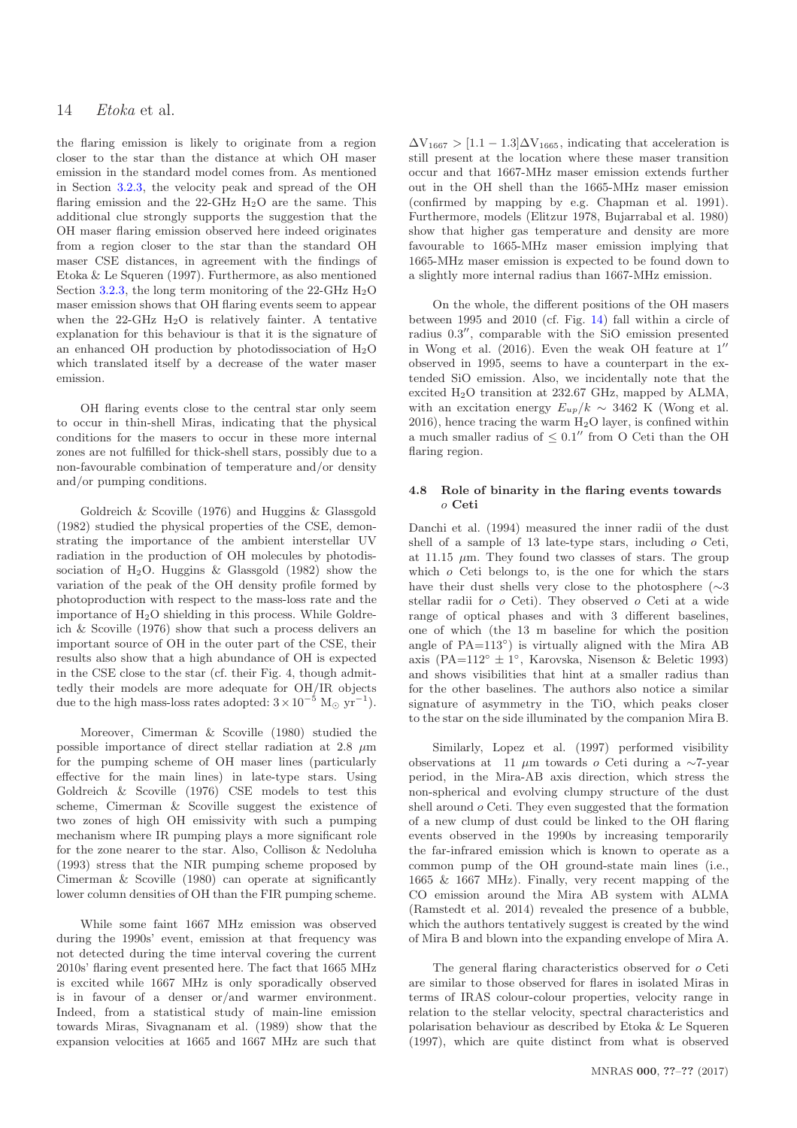the flaring emission is likely to originate from a region closer to the star than the distance at which OH maser emission in the standard model comes from. As mentioned in Section [3.2.3,](#page-8-4) the velocity peak and spread of the OH flaring emission and the 22-GHz  $H_2O$  are the same. This additional clue strongly supports the suggestion that the OH maser flaring emission observed here indeed originates from a region closer to the star than the standard OH maser CSE distances, in agreement with the findings of Etoka & Le Squeren (1997). Furthermore, as also mentioned Section [3.2.3,](#page-8-4) the long term monitoring of the  $22\text{-}GHz H_2O$ maser emission shows that OH flaring events seem to appear when the  $22-\text{GHz}$  H<sub>2</sub>O is relatively fainter. A tentative explanation for this behaviour is that it is the signature of an enhanced OH production by photodissociation of  $H_2O$ which translated itself by a decrease of the water maser emission.

OH flaring events close to the central star only seem to occur in thin-shell Miras, indicating that the physical conditions for the masers to occur in these more internal zones are not fulfilled for thick-shell stars, possibly due to a non-favourable combination of temperature and/or density and/or pumping conditions.

Goldreich & Scoville (1976) and Huggins & Glassgold (1982) studied the physical properties of the CSE, demonstrating the importance of the ambient interstellar UV radiation in the production of OH molecules by photodissociation of  $H_2O$ . Huggins & Glassgold (1982) show the variation of the peak of the OH density profile formed by photoproduction with respect to the mass-loss rate and the importance of  $H<sub>2</sub>O$  shielding in this process. While Goldreich & Scoville (1976) show that such a process delivers an important source of OH in the outer part of the CSE, their results also show that a high abundance of OH is expected in the CSE close to the star (cf. their Fig. 4, though admittedly their models are more adequate for OH/IR objects due to the high mass-loss rates adopted:  $3 \times 10^{-5}$  M<sub>☉</sub> yr<sup>-1</sup>).

Moreover, Cimerman & Scoville (1980) studied the possible importance of direct stellar radiation at 2.8  $\mu$ m for the pumping scheme of OH maser lines (particularly effective for the main lines) in late-type stars. Using Goldreich & Scoville (1976) CSE models to test this scheme, Cimerman & Scoville suggest the existence of two zones of high OH emissivity with such a pumping mechanism where IR pumping plays a more significant role for the zone nearer to the star. Also, Collison & Nedoluha (1993) stress that the NIR pumping scheme proposed by Cimerman & Scoville (1980) can operate at significantly lower column densities of OH than the FIR pumping scheme.

While some faint 1667 MHz emission was observed during the 1990s' event, emission at that frequency was not detected during the time interval covering the current 2010s' flaring event presented here. The fact that 1665 MHz is excited while 1667 MHz is only sporadically observed is in favour of a denser or/and warmer environment. Indeed, from a statistical study of main-line emission towards Miras, Sivagnanam et al. (1989) show that the expansion velocities at 1665 and 1667 MHz are such that

 $\Delta V_{1667} > [1.1 - 1.3] \Delta V_{1665}$ , indicating that acceleration is still present at the location where these maser transition occur and that 1667-MHz maser emission extends further out in the OH shell than the 1665-MHz maser emission (confirmed by mapping by e.g. Chapman et al. 1991). Furthermore, models (Elitzur 1978, Bujarrabal et al. 1980) show that higher gas temperature and density are more favourable to 1665-MHz maser emission implying that 1665-MHz maser emission is expected to be found down to a slightly more internal radius than 1667-MHz emission.

On the whole, the different positions of the OH masers between 1995 and 2010 (cf. Fig. [14\)](#page-9-0) fall within a circle of radius 0.3 ′′, comparable with the SiO emission presented in Wong et al. (2016). Even the weak OH feature at 1′′ observed in 1995, seems to have a counterpart in the extended SiO emission. Also, we incidentally note that the excited H2O transition at 232.67 GHz, mapped by ALMA, with an excitation energy  $E_{up}/k \sim 3462$  K (Wong et al. 2016), hence tracing the warm  $H_2O$  layer, is confined within a much smaller radius of  $\leq 0.1''$  from O Ceti than the OH flaring region.

# 4.8 Role of binarity in the flaring events towards o Ceti

Danchi et al. (1994) measured the inner radii of the dust shell of a sample of 13 late-type stars, including o Ceti, at 11.15  $\mu$ m. They found two classes of stars. The group which  $o$  Ceti belongs to, is the one for which the stars have their dust shells very close to the photosphere ( $\sim$ 3 stellar radii for o Ceti). They observed o Ceti at a wide range of optical phases and with 3 different baselines, one of which (the 13 m baseline for which the position angle of PA=113°) is virtually aligned with the Mira AB axis (PA=112°  $\pm$  1°, Karovska, Nisenson & Beletic 1993) and shows visibilities that hint at a smaller radius than for the other baselines. The authors also notice a similar signature of asymmetry in the TiO, which peaks closer to the star on the side illuminated by the companion Mira B.

Similarly, Lopez et al. (1997) performed visibility observations at 11 µm towards o Ceti during a ∼7-year period, in the Mira-AB axis direction, which stress the non-spherical and evolving clumpy structure of the dust shell around o Ceti. They even suggested that the formation of a new clump of dust could be linked to the OH flaring events observed in the 1990s by increasing temporarily the far-infrared emission which is known to operate as a common pump of the OH ground-state main lines (i.e., 1665 & 1667 MHz). Finally, very recent mapping of the CO emission around the Mira AB system with ALMA (Ramstedt et al. 2014) revealed the presence of a bubble, which the authors tentatively suggest is created by the wind of Mira B and blown into the expanding envelope of Mira A.

The general flaring characteristics observed for o Ceti are similar to those observed for flares in isolated Miras in terms of IRAS colour-colour properties, velocity range in relation to the stellar velocity, spectral characteristics and polarisation behaviour as described by Etoka & Le Squeren (1997), which are quite distinct from what is observed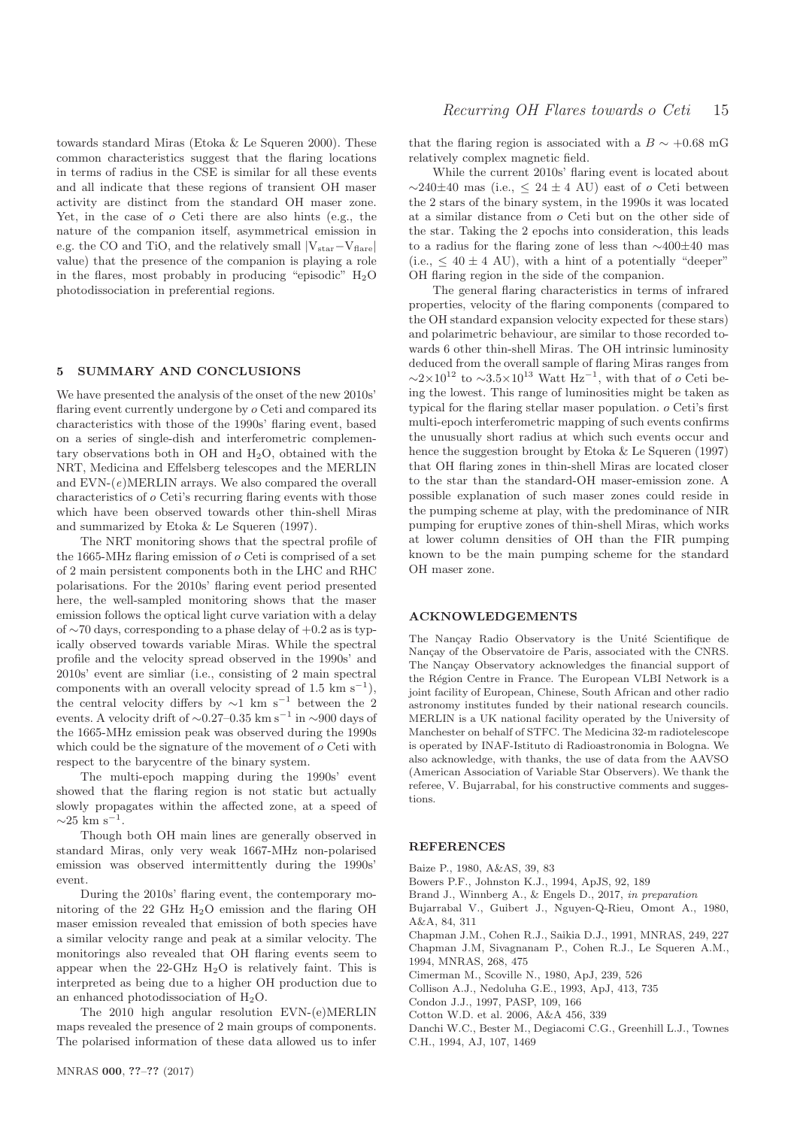towards standard Miras (Etoka & Le Squeren 2000). These common characteristics suggest that the flaring locations in terms of radius in the CSE is similar for all these events and all indicate that these regions of transient OH maser activity are distinct from the standard OH maser zone. Yet, in the case of o Ceti there are also hints (e.g., the nature of the companion itself, asymmetrical emission in e.g. the CO and TiO, and the relatively small  $|V_{star}-V_{flare}|$ value) that the presence of the companion is playing a role in the flares, most probably in producing "episodic"  $H_2O$ photodissociation in preferential regions.

# <span id="page-14-0"></span>5 SUMMARY AND CONCLUSIONS

We have presented the analysis of the onset of the new 2010s' flaring event currently undergone by o Ceti and compared its characteristics with those of the 1990s' flaring event, based on a series of single-dish and interferometric complementary observations both in  $OH$  and  $H<sub>2</sub>O$ , obtained with the NRT, Medicina and Effelsberg telescopes and the MERLIN and  $EVN-(e)MERLIN$  arrays. We also compared the overall characteristics of o Ceti's recurring flaring events with those which have been observed towards other thin-shell Miras and summarized by Etoka & Le Squeren (1997).

The NRT monitoring shows that the spectral profile of the 1665-MHz flaring emission of o Ceti is comprised of a set of 2 main persistent components both in the LHC and RHC polarisations. For the 2010s' flaring event period presented here, the well-sampled monitoring shows that the maser emission follows the optical light curve variation with a delay of ∼70 days, corresponding to a phase delay of +0.2 as is typically observed towards variable Miras. While the spectral profile and the velocity spread observed in the 1990s' and 2010s' event are simliar (i.e., consisting of 2 main spectral components with an overall velocity spread of 1.5 km s<sup>-1</sup>), the central velocity differs by  $\sim$ 1 km s<sup>-1</sup> between the 2 events. A velocity drift of  $\sim$ 0.27–0.35 km s<sup>-1</sup> in  $\sim$ 900 days of the 1665-MHz emission peak was observed during the 1990s which could be the signature of the movement of o Ceti with respect to the barycentre of the binary system.

The multi-epoch mapping during the 1990s' event showed that the flaring region is not static but actually slowly propagates within the affected zone, at a speed of  $\sim$ 25 km s<sup>-1</sup>.

Though both OH main lines are generally observed in standard Miras, only very weak 1667-MHz non-polarised emission was observed intermittently during the 1990s' event.

During the 2010s' flaring event, the contemporary monitoring of the 22 GHz H2O emission and the flaring OH maser emission revealed that emission of both species have a similar velocity range and peak at a similar velocity. The monitorings also revealed that OH flaring events seem to appear when the  $22$ -GHz  $H<sub>2</sub>O$  is relatively faint. This is interpreted as being due to a higher OH production due to an enhanced photodissociation of H2O.

The 2010 high angular resolution EVN-(e)MERLIN maps revealed the presence of 2 main groups of components. The polarised information of these data allowed us to infer that the flaring region is associated with a  $B \sim +0.68$  mG relatively complex magnetic field.

While the current 2010s' flaring event is located about  $\sim$ 240±40 mas (i.e.,  $\leq$  24 ± 4 AU) east of  $\sigma$  Ceti between the 2 stars of the binary system, in the 1990s it was located at a similar distance from o Ceti but on the other side of the star. Taking the 2 epochs into consideration, this leads to a radius for the flaring zone of less than ∼400±40 mas (i.e.,  $\leq 40 \pm 4$  AU), with a hint of a potentially "deeper" OH flaring region in the side of the companion.

The general flaring characteristics in terms of infrared properties, velocity of the flaring components (compared to the OH standard expansion velocity expected for these stars) and polarimetric behaviour, are similar to those recorded towards 6 other thin-shell Miras. The OH intrinsic luminosity deduced from the overall sample of flaring Miras ranges from  $\sim$ 2×10<sup>12</sup> to  $\sim$ 3.5×10<sup>13</sup> Watt Hz<sup>-1</sup>, with that of *o* Ceti being the lowest. This range of luminosities might be taken as typical for the flaring stellar maser population. o Ceti's first multi-epoch interferometric mapping of such events confirms the unusually short radius at which such events occur and hence the suggestion brought by Etoka & Le Squeren (1997) that OH flaring zones in thin-shell Miras are located closer to the star than the standard-OH maser-emission zone. A possible explanation of such maser zones could reside in the pumping scheme at play, with the predominance of NIR pumping for eruptive zones of thin-shell Miras, which works at lower column densities of OH than the FIR pumping known to be the main pumping scheme for the standard OH maser zone.

# ACKNOWLEDGEMENTS

The Nançay Radio Observatory is the Unité Scientifique de Nancay of the Observatoire de Paris, associated with the CNRS. The Nançay Observatory acknowledges the financial support of the Région Centre in France. The European VLBI Network is a joint facility of European, Chinese, South African and other radio astronomy institutes funded by their national research councils. MERLIN is a UK national facility operated by the University of Manchester on behalf of STFC. The Medicina 32-m radiotelescope is operated by INAF-Istituto di Radioastronomia in Bologna. We also acknowledge, with thanks, the use of data from the AAVSO (American Association of Variable Star Observers). We thank the referee, V. Bujarrabal, for his constructive comments and suggestions.

#### **REFERENCES**

Baize P., 1980, A&AS, 39, 83

Bowers P.F., Johnston K.J., 1994, ApJS, 92, 189

Brand J., Winnberg A., & Engels D., 2017, in preparation

Bujarrabal V., Guibert J., Nguyen-Q-Rieu, Omont A., 1980, A&A, 84, 311

Chapman J.M., Cohen R.J., Saikia D.J., 1991, MNRAS, 249, 227 Chapman J.M, Sivagnanam P., Cohen R.J., Le Squeren A.M., 1994, MNRAS, 268, 475

Cimerman M., Scoville N., 1980, ApJ, 239, 526

Collison A.J., Nedoluha G.E., 1993, ApJ, 413, 735

Condon J.J., 1997, PASP, 109, 166

Cotton W.D. et al. 2006, A&A 456, 339

Danchi W.C., Bester M., Degiacomi C.G., Greenhill L.J., Townes C.H., 1994, AJ, 107, 1469